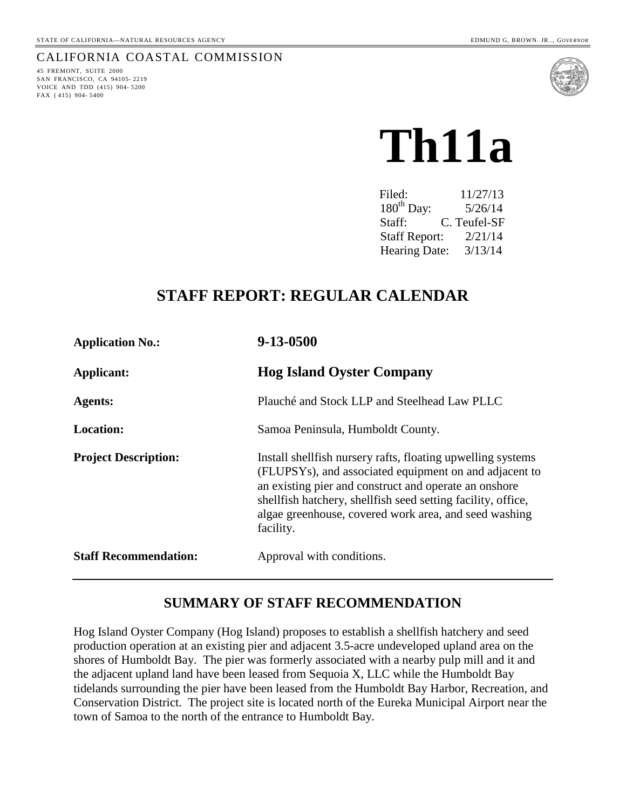#### CALIFORNIA COASTAL COMMISSION

45 FREMONT, SUITE 2000 SAN FRANCISCO, CA 94105- 2219 VOICE AND TDD (415) 904- 5200 FAX ( 415) 904- 5400



# **Th11a**

 Filed: 11/27/13 180<sup>th</sup> Day: 5/26/14 Staff: C. Teufel-SF Staff Report: 2/21/14 Hearing Date: 3/13/14

# **STAFF REPORT: REGULAR CALENDAR**

| <b>Application No.:</b>      | 9-13-0500                                                                                                                                                                                                                                                                                                             |
|------------------------------|-----------------------------------------------------------------------------------------------------------------------------------------------------------------------------------------------------------------------------------------------------------------------------------------------------------------------|
| Applicant:                   | <b>Hog Island Oyster Company</b>                                                                                                                                                                                                                                                                                      |
| <b>Agents:</b>               | Plauché and Stock LLP and Steelhead Law PLLC                                                                                                                                                                                                                                                                          |
| <b>Location:</b>             | Samoa Peninsula, Humboldt County.                                                                                                                                                                                                                                                                                     |
| <b>Project Description:</b>  | Install shell fish nursery rafts, floating upwelling systems<br>(FLUPSYs), and associated equipment on and adjacent to<br>an existing pier and construct and operate an onshore<br>shellfish hatchery, shellfish seed setting facility, office,<br>algae greenhouse, covered work area, and seed washing<br>facility. |
| <b>Staff Recommendation:</b> | Approval with conditions.                                                                                                                                                                                                                                                                                             |

#### **SUMMARY OF STAFF RECOMMENDATION**

Hog Island Oyster Company (Hog Island) proposes to establish a shellfish hatchery and seed production operation at an existing pier and adjacent 3.5-acre undeveloped upland area on the shores of Humboldt Bay. The pier was formerly associated with a nearby pulp mill and it and the adjacent upland land have been leased from Sequoia X, LLC while the Humboldt Bay tidelands surrounding the pier have been leased from the Humboldt Bay Harbor, Recreation, and Conservation District. The project site is located north of the Eureka Municipal Airport near the town of Samoa to the north of the entrance to Humboldt Bay.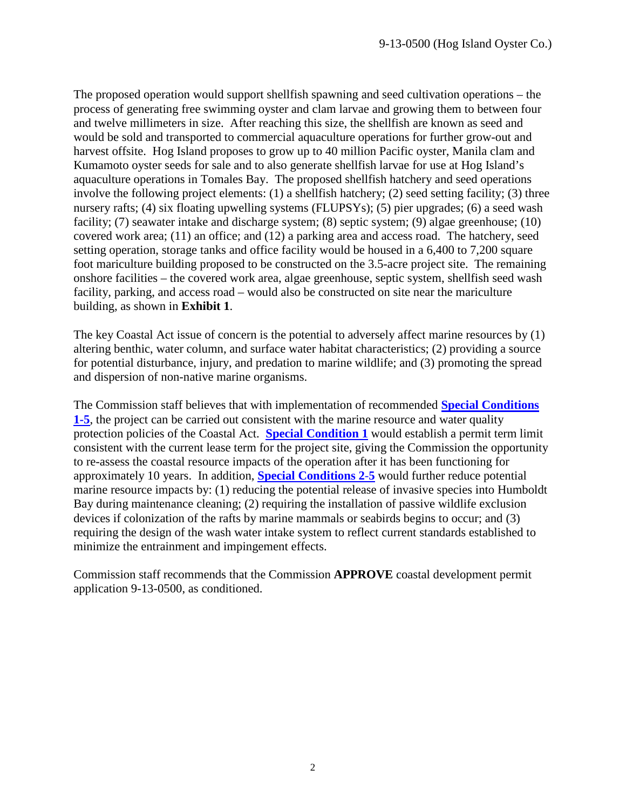The proposed operation would support shellfish spawning and seed cultivation operations – the process of generating free swimming oyster and clam larvae and growing them to between four and twelve millimeters in size. After reaching this size, the shellfish are known as seed and would be sold and transported to commercial aquaculture operations for further grow-out and harvest offsite. Hog Island proposes to grow up to 40 million Pacific oyster, Manila clam and Kumamoto oyster seeds for sale and to also generate shellfish larvae for use at Hog Island's aquaculture operations in Tomales Bay. The proposed shellfish hatchery and seed operations involve the following project elements: (1) a shellfish hatchery; (2) seed setting facility; (3) three nursery rafts; (4) six floating upwelling systems (FLUPSYs); (5) pier upgrades; (6) a seed wash facility; (7) seawater intake and discharge system; (8) septic system; (9) algae greenhouse; (10) covered work area; (11) an office; and (12) a parking area and access road. The hatchery, seed setting operation, storage tanks and office facility would be housed in a 6,400 to 7,200 square foot mariculture building proposed to be constructed on the 3.5-acre project site. The remaining onshore facilities – the covered work area, algae greenhouse, septic system, shellfish seed wash facility, parking, and access road – would also be constructed on site near the mariculture building, as shown in **Exhibit 1**.

The key Coastal Act issue of concern is the potential to adversely affect marine resources by (1) altering benthic, water column, and surface water habitat characteristics; (2) providing a source for potential disturbance, injury, and predation to marine wildlife; and (3) promoting the spread and dispersion of non-native marine organisms.

The Commission staff believes that with implementation of recommended **[Special Conditions](#page-4-0)  [1-5](#page-4-0)**, the project can be carried out consistent with the marine resource and water quality protection policies of the Coastal Act. **[Special Condition 1](#page-4-0)** would establish a permit term limit consistent with the current lease term for the project site, giving the Commission the opportunity to re-assess the coastal resource impacts of the operation after it has been functioning for approximately 10 years. In addition, **[Special Conditions 2](#page-4-0)**-**5** would further reduce potential marine resource impacts by: (1) reducing the potential release of invasive species into Humboldt Bay during maintenance cleaning; (2) requiring the installation of passive wildlife exclusion devices if colonization of the rafts by marine mammals or seabirds begins to occur; and (3) requiring the design of the wash water intake system to reflect current standards established to minimize the entrainment and impingement effects.

Commission staff recommends that the Commission **APPROVE** coastal development permit application 9-13-0500, as conditioned.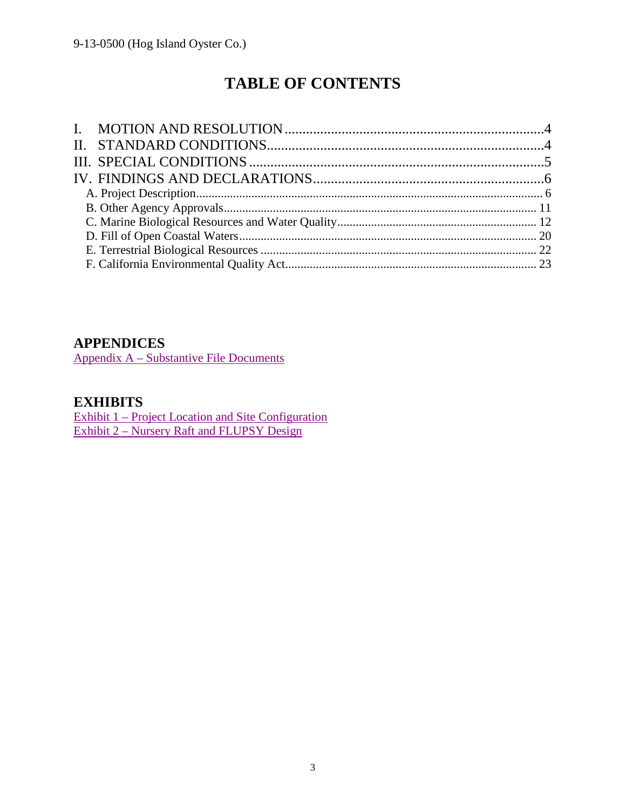# **TABLE OF CONTENTS**

## **APPENDICES**

Appendix A – [Substantive File Documents](#page-23-0)

## **EXHIBITS**

Exhibit 1 – [Project Location and Site Configuration](#page-26-0) Exhibit 2 – [Nursery Raft and FLUPSY Design](#page-27-0)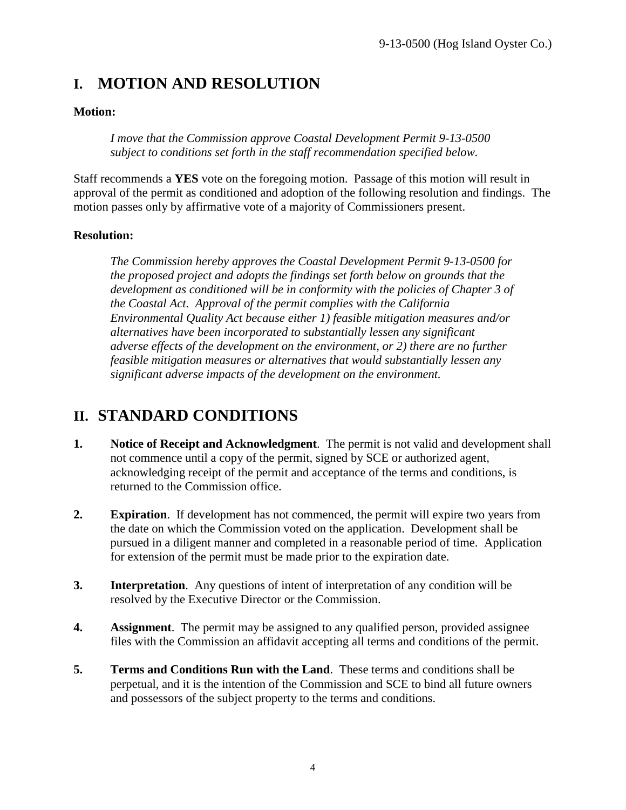# <span id="page-3-0"></span>**I. MOTION AND RESOLUTION**

#### **Motion:**

*I move that the Commission approve Coastal Development Permit 9-13-0500 subject to conditions set forth in the staff recommendation specified below.*

Staff recommends a **YES** vote on the foregoing motion. Passage of this motion will result in approval of the permit as conditioned and adoption of the following resolution and findings. The motion passes only by affirmative vote of a majority of Commissioners present.

#### **Resolution:**

*The Commission hereby approves the Coastal Development Permit 9-13-0500 for the proposed project and adopts the findings set forth below on grounds that the development as conditioned will be in conformity with the policies of Chapter 3 of the Coastal Act. Approval of the permit complies with the California Environmental Quality Act because either 1) feasible mitigation measures and/or alternatives have been incorporated to substantially lessen any significant adverse effects of the development on the environment, or 2) there are no further feasible mitigation measures or alternatives that would substantially lessen any significant adverse impacts of the development on the environment.*

# <span id="page-3-1"></span>**II. STANDARD CONDITIONS**

- **1. Notice of Receipt and Acknowledgment**. The permit is not valid and development shall not commence until a copy of the permit, signed by SCE or authorized agent, acknowledging receipt of the permit and acceptance of the terms and conditions, is returned to the Commission office.
- **2. Expiration**. If development has not commenced, the permit will expire two years from the date on which the Commission voted on the application. Development shall be pursued in a diligent manner and completed in a reasonable period of time. Application for extension of the permit must be made prior to the expiration date.
- **3. Interpretation**. Any questions of intent of interpretation of any condition will be resolved by the Executive Director or the Commission.
- **4. Assignment**. The permit may be assigned to any qualified person, provided assignee files with the Commission an affidavit accepting all terms and conditions of the permit.
- **5. Terms and Conditions Run with the Land**. These terms and conditions shall be perpetual, and it is the intention of the Commission and SCE to bind all future owners and possessors of the subject property to the terms and conditions.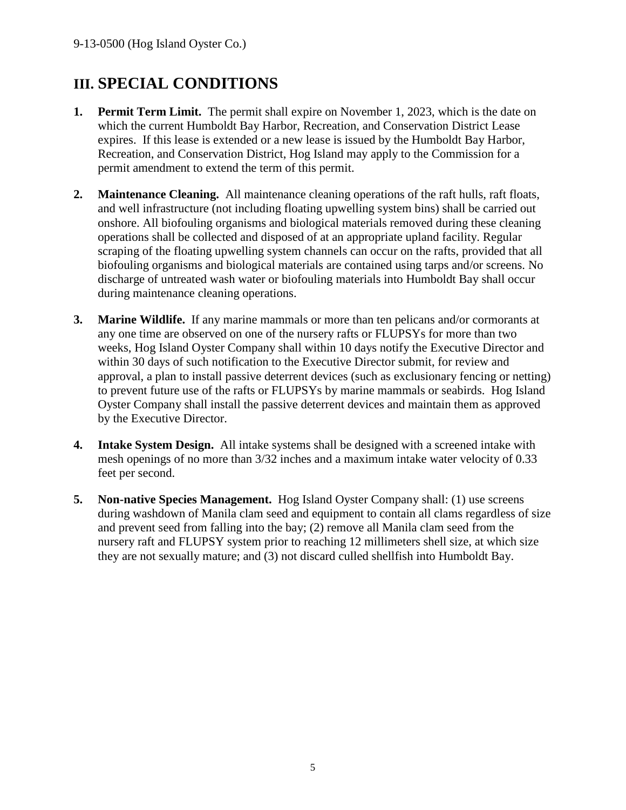# <span id="page-4-1"></span>**III. SPECIAL CONDITIONS**

- **1. Permit Term Limit.** The permit shall expire on November 1, 2023, which is the date on which the current Humboldt Bay Harbor, Recreation, and Conservation District Lease expires. If this lease is extended or a new lease is issued by the Humboldt Bay Harbor, Recreation, and Conservation District, Hog Island may apply to the Commission for a permit amendment to extend the term of this permit.
- <span id="page-4-0"></span>**2. Maintenance Cleaning.** All maintenance cleaning operations of the raft hulls, raft floats, and well infrastructure (not including floating upwelling system bins) shall be carried out onshore. All biofouling organisms and biological materials removed during these cleaning operations shall be collected and disposed of at an appropriate upland facility. Regular scraping of the floating upwelling system channels can occur on the rafts, provided that all biofouling organisms and biological materials are contained using tarps and/or screens. No discharge of untreated wash water or biofouling materials into Humboldt Bay shall occur during maintenance cleaning operations.
- <span id="page-4-3"></span>**3. Marine Wildlife.** If any marine mammals or more than ten pelicans and/or cormorants at any one time are observed on one of the nursery rafts or FLUPSYs for more than two weeks, Hog Island Oyster Company shall within 10 days notify the Executive Director and within 30 days of such notification to the Executive Director submit, for review and approval, a plan to install passive deterrent devices (such as exclusionary fencing or netting) to prevent future use of the rafts or FLUPSYs by marine mammals or seabirds. Hog Island Oyster Company shall install the passive deterrent devices and maintain them as approved by the Executive Director.
- <span id="page-4-4"></span>**4. Intake System Design.** All intake systems shall be designed with a screened intake with mesh openings of no more than 3/32 inches and a maximum intake water velocity of 0.33 feet per second.
- <span id="page-4-2"></span>**5. Non-native Species Management.** Hog Island Oyster Company shall: (1) use screens during washdown of Manila clam seed and equipment to contain all clams regardless of size and prevent seed from falling into the bay; (2) remove all Manila clam seed from the nursery raft and FLUPSY system prior to reaching 12 millimeters shell size, at which size they are not sexually mature; and (3) not discard culled shellfish into Humboldt Bay.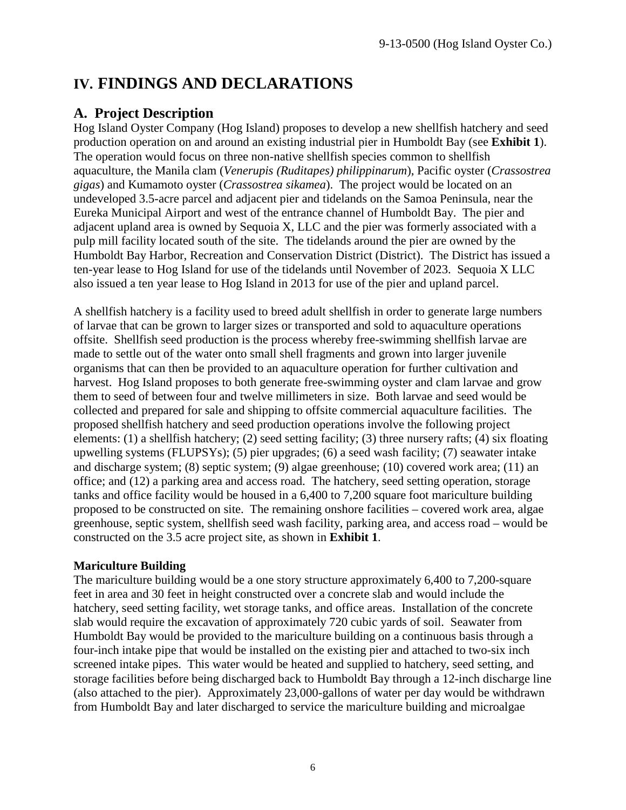# <span id="page-5-0"></span>**IV. FINDINGS AND DECLARATIONS**

# <span id="page-5-1"></span>**A. Project Description**

Hog Island Oyster Company (Hog Island) proposes to develop a new shellfish hatchery and seed production operation on and around an existing industrial pier in Humboldt Bay (see **Exhibit 1**). The operation would focus on three non-native shellfish species common to shellfish aquaculture, the Manila clam (*Venerupis (Ruditapes) philippinarum*), Pacific oyster (*Crassostrea gigas*) and Kumamoto oyster (*Crassostrea sikamea*). The project would be located on an undeveloped 3.5-acre parcel and adjacent pier and tidelands on the Samoa Peninsula, near the Eureka Municipal Airport and west of the entrance channel of Humboldt Bay. The pier and adjacent upland area is owned by Sequoia X, LLC and the pier was formerly associated with a pulp mill facility located south of the site. The tidelands around the pier are owned by the Humboldt Bay Harbor, Recreation and Conservation District (District). The District has issued a ten-year lease to Hog Island for use of the tidelands until November of 2023. Sequoia X LLC also issued a ten year lease to Hog Island in 2013 for use of the pier and upland parcel.

A shellfish hatchery is a facility used to breed adult shellfish in order to generate large numbers of larvae that can be grown to larger sizes or transported and sold to aquaculture operations offsite. Shellfish seed production is the process whereby free-swimming shellfish larvae are made to settle out of the water onto small shell fragments and grown into larger juvenile organisms that can then be provided to an aquaculture operation for further cultivation and harvest. Hog Island proposes to both generate free-swimming oyster and clam larvae and grow them to seed of between four and twelve millimeters in size. Both larvae and seed would be collected and prepared for sale and shipping to offsite commercial aquaculture facilities. The proposed shellfish hatchery and seed production operations involve the following project elements: (1) a shellfish hatchery; (2) seed setting facility; (3) three nursery rafts; (4) six floating upwelling systems (FLUPSYs); (5) pier upgrades; (6) a seed wash facility; (7) seawater intake and discharge system; (8) septic system; (9) algae greenhouse; (10) covered work area; (11) an office; and (12) a parking area and access road. The hatchery, seed setting operation, storage tanks and office facility would be housed in a 6,400 to 7,200 square foot mariculture building proposed to be constructed on site. The remaining onshore facilities – covered work area, algae greenhouse, septic system, shellfish seed wash facility, parking area, and access road – would be constructed on the 3.5 acre project site, as shown in **Exhibit 1**.

#### **Mariculture Building**

The mariculture building would be a one story structure approximately 6,400 to 7,200-square feet in area and 30 feet in height constructed over a concrete slab and would include the hatchery, seed setting facility, wet storage tanks, and office areas. Installation of the concrete slab would require the excavation of approximately 720 cubic yards of soil. Seawater from Humboldt Bay would be provided to the mariculture building on a continuous basis through a four-inch intake pipe that would be installed on the existing pier and attached to two-six inch screened intake pipes. This water would be heated and supplied to hatchery, seed setting, and storage facilities before being discharged back to Humboldt Bay through a 12-inch discharge line (also attached to the pier). Approximately 23,000-gallons of water per day would be withdrawn from Humboldt Bay and later discharged to service the mariculture building and microalgae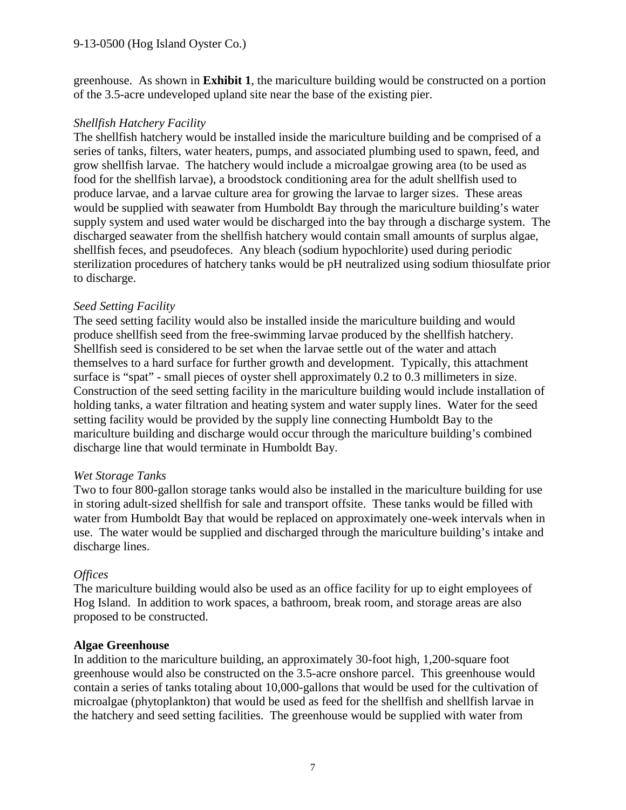greenhouse. As shown in **Exhibit 1**, the mariculture building would be constructed on a portion of the 3.5-acre undeveloped upland site near the base of the existing pier.

#### *Shellfish Hatchery Facility*

The shellfish hatchery would be installed inside the mariculture building and be comprised of a series of tanks, filters, water heaters, pumps, and associated plumbing used to spawn, feed, and grow shellfish larvae. The hatchery would include a microalgae growing area (to be used as food for the shellfish larvae), a broodstock conditioning area for the adult shellfish used to produce larvae, and a larvae culture area for growing the larvae to larger sizes. These areas would be supplied with seawater from Humboldt Bay through the mariculture building's water supply system and used water would be discharged into the bay through a discharge system. The discharged seawater from the shellfish hatchery would contain small amounts of surplus algae, shellfish feces, and pseudofeces. Any bleach (sodium hypochlorite) used during periodic sterilization procedures of hatchery tanks would be pH neutralized using sodium thiosulfate prior to discharge.

#### *Seed Setting Facility*

The seed setting facility would also be installed inside the mariculture building and would produce shellfish seed from the free-swimming larvae produced by the shellfish hatchery. Shellfish seed is considered to be set when the larvae settle out of the water and attach themselves to a hard surface for further growth and development. Typically, this attachment surface is "spat" - small pieces of oyster shell approximately 0.2 to 0.3 millimeters in size. Construction of the seed setting facility in the mariculture building would include installation of holding tanks, a water filtration and heating system and water supply lines. Water for the seed setting facility would be provided by the supply line connecting Humboldt Bay to the mariculture building and discharge would occur through the mariculture building's combined discharge line that would terminate in Humboldt Bay.

#### *Wet Storage Tanks*

Two to four 800-gallon storage tanks would also be installed in the mariculture building for use in storing adult-sized shellfish for sale and transport offsite. These tanks would be filled with water from Humboldt Bay that would be replaced on approximately one-week intervals when in use. The water would be supplied and discharged through the mariculture building's intake and discharge lines.

#### *Offices*

The mariculture building would also be used as an office facility for up to eight employees of Hog Island. In addition to work spaces, a bathroom, break room, and storage areas are also proposed to be constructed.

#### **Algae Greenhouse**

In addition to the mariculture building, an approximately 30-foot high, 1,200-square foot greenhouse would also be constructed on the 3.5-acre onshore parcel. This greenhouse would contain a series of tanks totaling about 10,000-gallons that would be used for the cultivation of microalgae (phytoplankton) that would be used as feed for the shellfish and shellfish larvae in the hatchery and seed setting facilities. The greenhouse would be supplied with water from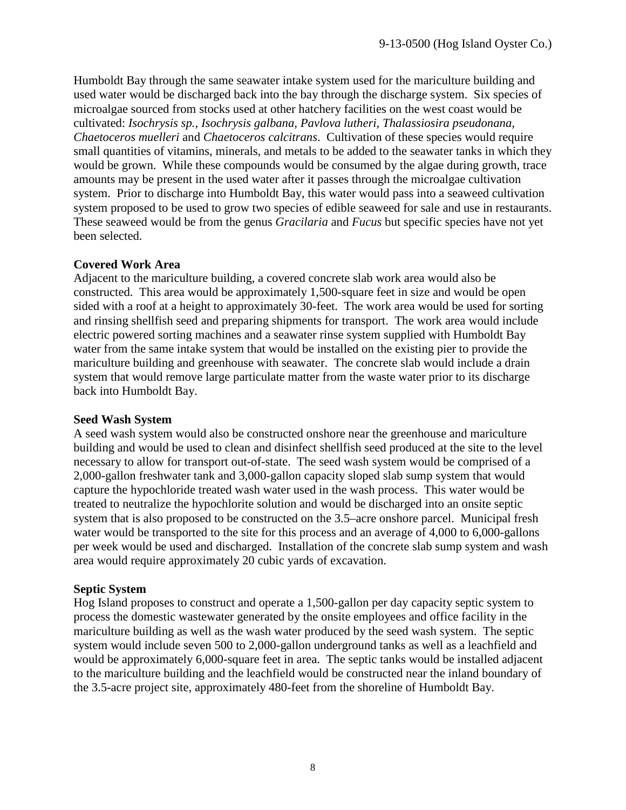Humboldt Bay through the same seawater intake system used for the mariculture building and used water would be discharged back into the bay through the discharge system. Six species of microalgae sourced from stocks used at other hatchery facilities on the west coast would be cultivated: *Isochrysis sp.*, *Isochrysis galbana, Pavlova lutheri, Thalassiosira pseudonana, Chaetoceros muelleri* and *Chaetoceros calcitrans*. Cultivation of these species would require small quantities of vitamins, minerals, and metals to be added to the seawater tanks in which they would be grown. While these compounds would be consumed by the algae during growth, trace amounts may be present in the used water after it passes through the microalgae cultivation system. Prior to discharge into Humboldt Bay, this water would pass into a seaweed cultivation system proposed to be used to grow two species of edible seaweed for sale and use in restaurants. These seaweed would be from the genus *Gracilaria* and *Fucus* but specific species have not yet been selected.

#### **Covered Work Area**

Adjacent to the mariculture building, a covered concrete slab work area would also be constructed. This area would be approximately 1,500-square feet in size and would be open sided with a roof at a height to approximately 30-feet. The work area would be used for sorting and rinsing shellfish seed and preparing shipments for transport. The work area would include electric powered sorting machines and a seawater rinse system supplied with Humboldt Bay water from the same intake system that would be installed on the existing pier to provide the mariculture building and greenhouse with seawater. The concrete slab would include a drain system that would remove large particulate matter from the waste water prior to its discharge back into Humboldt Bay.

#### **Seed Wash System**

A seed wash system would also be constructed onshore near the greenhouse and mariculture building and would be used to clean and disinfect shellfish seed produced at the site to the level necessary to allow for transport out-of-state. The seed wash system would be comprised of a 2,000-gallon freshwater tank and 3,000-gallon capacity sloped slab sump system that would capture the hypochloride treated wash water used in the wash process. This water would be treated to neutralize the hypochlorite solution and would be discharged into an onsite septic system that is also proposed to be constructed on the 3.5–acre onshore parcel. Municipal fresh water would be transported to the site for this process and an average of 4,000 to 6,000-gallons per week would be used and discharged. Installation of the concrete slab sump system and wash area would require approximately 20 cubic yards of excavation.

#### **Septic System**

Hog Island proposes to construct and operate a 1,500-gallon per day capacity septic system to process the domestic wastewater generated by the onsite employees and office facility in the mariculture building as well as the wash water produced by the seed wash system. The septic system would include seven 500 to 2,000-gallon underground tanks as well as a leachfield and would be approximately 6,000-square feet in area. The septic tanks would be installed adjacent to the mariculture building and the leachfield would be constructed near the inland boundary of the 3.5-acre project site, approximately 480-feet from the shoreline of Humboldt Bay.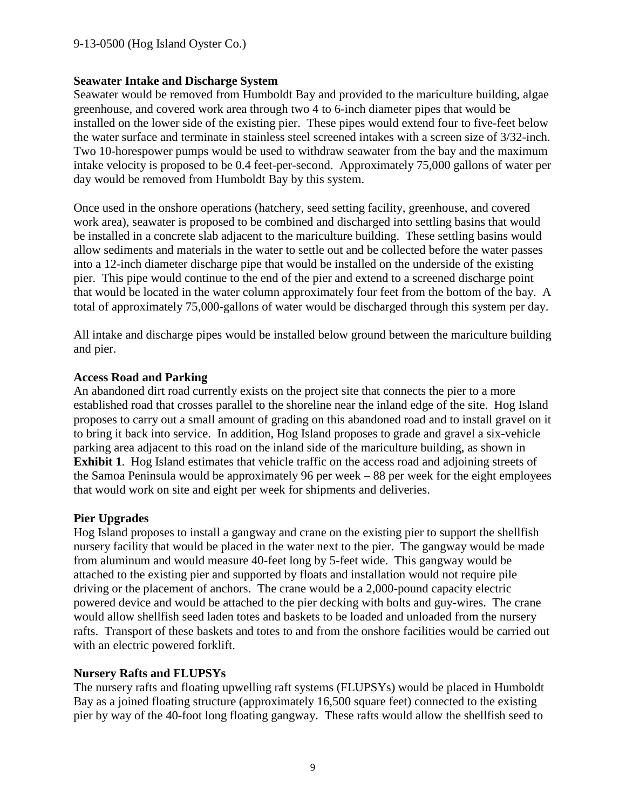#### **Seawater Intake and Discharge System**

Seawater would be removed from Humboldt Bay and provided to the mariculture building, algae greenhouse, and covered work area through two 4 to 6-inch diameter pipes that would be installed on the lower side of the existing pier. These pipes would extend four to five-feet below the water surface and terminate in stainless steel screened intakes with a screen size of 3/32-inch. Two 10-horespower pumps would be used to withdraw seawater from the bay and the maximum intake velocity is proposed to be 0.4 feet-per-second. Approximately 75,000 gallons of water per day would be removed from Humboldt Bay by this system.

Once used in the onshore operations (hatchery, seed setting facility, greenhouse, and covered work area), seawater is proposed to be combined and discharged into settling basins that would be installed in a concrete slab adjacent to the mariculture building. These settling basins would allow sediments and materials in the water to settle out and be collected before the water passes into a 12-inch diameter discharge pipe that would be installed on the underside of the existing pier. This pipe would continue to the end of the pier and extend to a screened discharge point that would be located in the water column approximately four feet from the bottom of the bay. A total of approximately 75,000-gallons of water would be discharged through this system per day.

All intake and discharge pipes would be installed below ground between the mariculture building and pier.

#### **Access Road and Parking**

An abandoned dirt road currently exists on the project site that connects the pier to a more established road that crosses parallel to the shoreline near the inland edge of the site. Hog Island proposes to carry out a small amount of grading on this abandoned road and to install gravel on it to bring it back into service. In addition, Hog Island proposes to grade and gravel a six-vehicle parking area adjacent to this road on the inland side of the mariculture building, as shown in **Exhibit 1**. Hog Island estimates that vehicle traffic on the access road and adjoining streets of the Samoa Peninsula would be approximately 96 per week – 88 per week for the eight employees that would work on site and eight per week for shipments and deliveries.

#### **Pier Upgrades**

Hog Island proposes to install a gangway and crane on the existing pier to support the shellfish nursery facility that would be placed in the water next to the pier. The gangway would be made from aluminum and would measure 40-feet long by 5-feet wide. This gangway would be attached to the existing pier and supported by floats and installation would not require pile driving or the placement of anchors. The crane would be a 2,000-pound capacity electric powered device and would be attached to the pier decking with bolts and guy-wires. The crane would allow shellfish seed laden totes and baskets to be loaded and unloaded from the nursery rafts. Transport of these baskets and totes to and from the onshore facilities would be carried out with an electric powered forklift.

#### **Nursery Rafts and FLUPSYs**

The nursery rafts and floating upwelling raft systems (FLUPSYs) would be placed in Humboldt Bay as a joined floating structure (approximately 16,500 square feet) connected to the existing pier by way of the 40-foot long floating gangway. These rafts would allow the shellfish seed to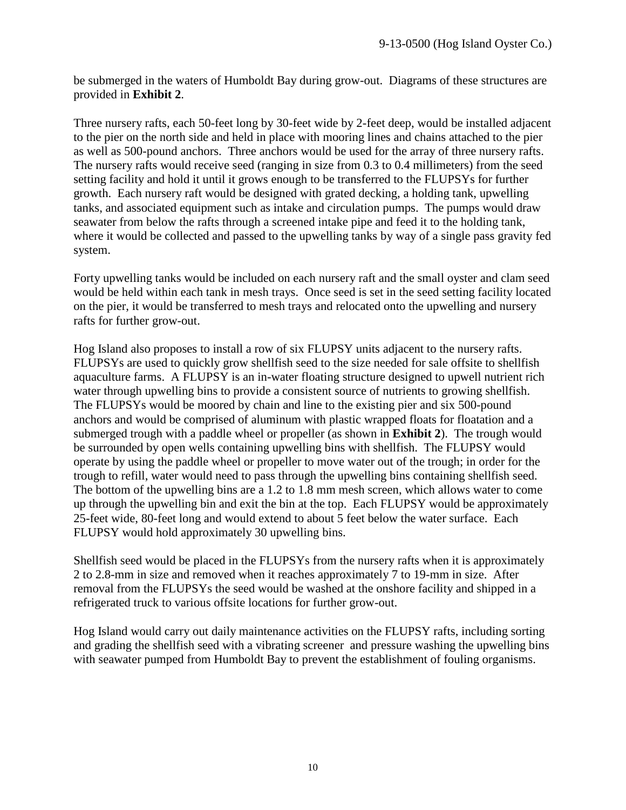be submerged in the waters of Humboldt Bay during grow-out. Diagrams of these structures are provided in **Exhibit 2**.

Three nursery rafts, each 50-feet long by 30-feet wide by 2-feet deep, would be installed adjacent to the pier on the north side and held in place with mooring lines and chains attached to the pier as well as 500-pound anchors. Three anchors would be used for the array of three nursery rafts. The nursery rafts would receive seed (ranging in size from 0.3 to 0.4 millimeters) from the seed setting facility and hold it until it grows enough to be transferred to the FLUPSYs for further growth. Each nursery raft would be designed with grated decking, a holding tank, upwelling tanks, and associated equipment such as intake and circulation pumps. The pumps would draw seawater from below the rafts through a screened intake pipe and feed it to the holding tank, where it would be collected and passed to the upwelling tanks by way of a single pass gravity fed system.

Forty upwelling tanks would be included on each nursery raft and the small oyster and clam seed would be held within each tank in mesh trays. Once seed is set in the seed setting facility located on the pier, it would be transferred to mesh trays and relocated onto the upwelling and nursery rafts for further grow-out.

Hog Island also proposes to install a row of six FLUPSY units adjacent to the nursery rafts. FLUPSYs are used to quickly grow shellfish seed to the size needed for sale offsite to shellfish aquaculture farms. A FLUPSY is an in-water floating structure designed to upwell nutrient rich water through upwelling bins to provide a consistent source of nutrients to growing shellfish. The FLUPSYs would be moored by chain and line to the existing pier and six 500-pound anchors and would be comprised of aluminum with plastic wrapped floats for floatation and a submerged trough with a paddle wheel or propeller (as shown in **Exhibit 2**). The trough would be surrounded by open wells containing upwelling bins with shellfish. The FLUPSY would operate by using the paddle wheel or propeller to move water out of the trough; in order for the trough to refill, water would need to pass through the upwelling bins containing shellfish seed. The bottom of the upwelling bins are a 1.2 to 1.8 mm mesh screen, which allows water to come up through the upwelling bin and exit the bin at the top. Each FLUPSY would be approximately 25-feet wide, 80-feet long and would extend to about 5 feet below the water surface. Each FLUPSY would hold approximately 30 upwelling bins.

Shellfish seed would be placed in the FLUPSYs from the nursery rafts when it is approximately 2 to 2.8-mm in size and removed when it reaches approximately 7 to 19-mm in size. After removal from the FLUPSYs the seed would be washed at the onshore facility and shipped in a refrigerated truck to various offsite locations for further grow-out.

Hog Island would carry out daily maintenance activities on the FLUPSY rafts, including sorting and grading the shellfish seed with a vibrating screener and pressure washing the upwelling bins with seawater pumped from Humboldt Bay to prevent the establishment of fouling organisms.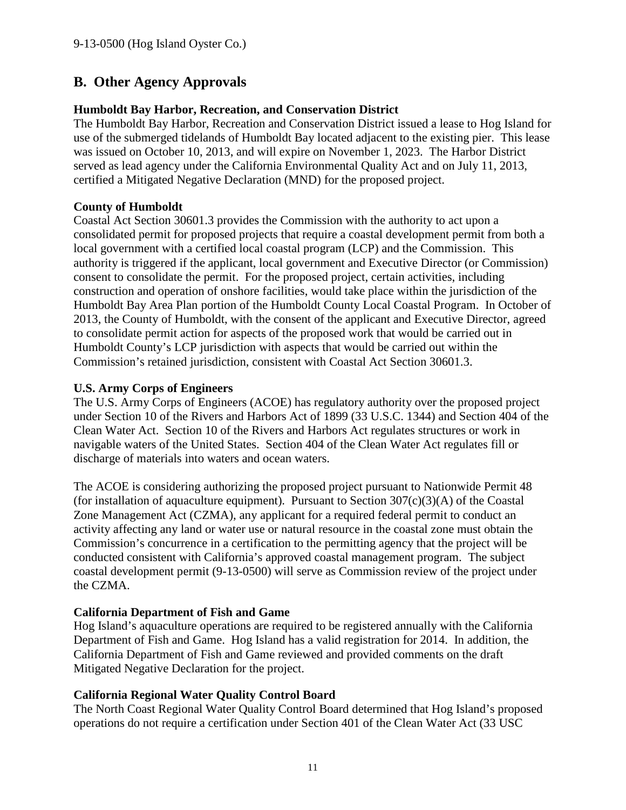# <span id="page-10-0"></span>**B. Other Agency Approvals**

#### **Humboldt Bay Harbor, Recreation, and Conservation District**

The Humboldt Bay Harbor, Recreation and Conservation District issued a lease to Hog Island for use of the submerged tidelands of Humboldt Bay located adjacent to the existing pier. This lease was issued on October 10, 2013, and will expire on November 1, 2023. The Harbor District served as lead agency under the California Environmental Quality Act and on July 11, 2013, certified a Mitigated Negative Declaration (MND) for the proposed project.

#### **County of Humboldt**

Coastal Act Section 30601.3 provides the Commission with the authority to act upon a consolidated permit for proposed projects that require a coastal development permit from both a local government with a certified local coastal program (LCP) and the Commission. This authority is triggered if the applicant, local government and Executive Director (or Commission) consent to consolidate the permit. For the proposed project, certain activities, including construction and operation of onshore facilities, would take place within the jurisdiction of the Humboldt Bay Area Plan portion of the Humboldt County Local Coastal Program. In October of 2013, the County of Humboldt, with the consent of the applicant and Executive Director, agreed to consolidate permit action for aspects of the proposed work that would be carried out in Humboldt County's LCP jurisdiction with aspects that would be carried out within the Commission's retained jurisdiction, consistent with Coastal Act Section 30601.3.

#### **U.S. Army Corps of Engineers**

The U.S. Army Corps of Engineers (ACOE) has regulatory authority over the proposed project under Section 10 of the Rivers and Harbors Act of 1899 (33 U.S.C. 1344) and Section 404 of the Clean Water Act. Section 10 of the Rivers and Harbors Act regulates structures or work in navigable waters of the United States. Section 404 of the Clean Water Act regulates fill or discharge of materials into waters and ocean waters.

The ACOE is considering authorizing the proposed project pursuant to Nationwide Permit 48 (for installation of aquaculture equipment). Pursuant to Section  $307(c)(3)(A)$  of the Coastal Zone Management Act (CZMA), any applicant for a required federal permit to conduct an activity affecting any land or water use or natural resource in the coastal zone must obtain the Commission's concurrence in a certification to the permitting agency that the project will be conducted consistent with California's approved coastal management program. The subject coastal development permit (9-13-0500) will serve as Commission review of the project under the CZMA.

#### **California Department of Fish and Game**

Hog Island's aquaculture operations are required to be registered annually with the California Department of Fish and Game. Hog Island has a valid registration for 2014. In addition, the California Department of Fish and Game reviewed and provided comments on the draft Mitigated Negative Declaration for the project.

#### **California Regional Water Quality Control Board**

The North Coast Regional Water Quality Control Board determined that Hog Island's proposed operations do not require a certification under Section 401 of the Clean Water Act (33 USC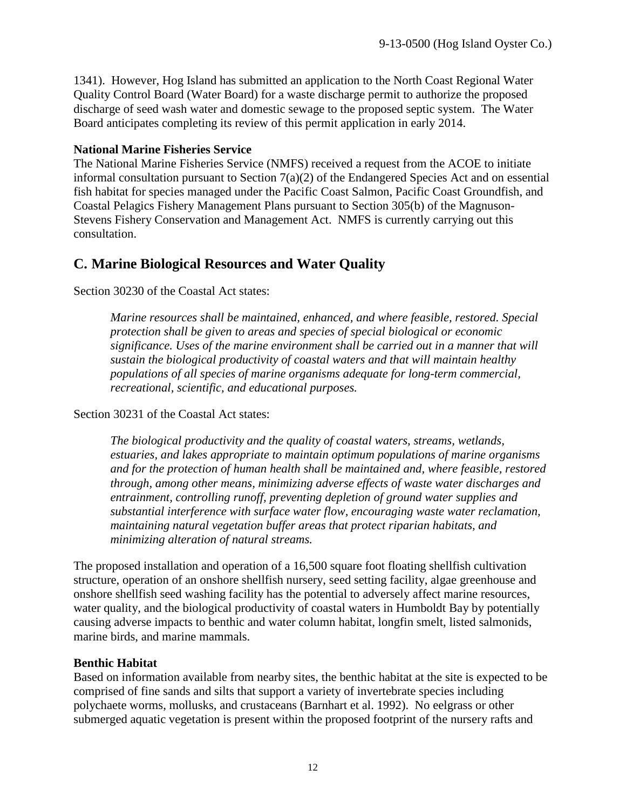1341). However, Hog Island has submitted an application to the North Coast Regional Water Quality Control Board (Water Board) for a waste discharge permit to authorize the proposed discharge of seed wash water and domestic sewage to the proposed septic system. The Water Board anticipates completing its review of this permit application in early 2014.

#### **National Marine Fisheries Service**

The National Marine Fisheries Service (NMFS) received a request from the ACOE to initiate informal consultation pursuant to Section 7(a)(2) of the Endangered Species Act and on essential fish habitat for species managed under the Pacific Coast Salmon, Pacific Coast Groundfish, and Coastal Pelagics Fishery Management Plans pursuant to Section 305(b) of the Magnuson-Stevens Fishery Conservation and Management Act. NMFS is currently carrying out this consultation.

## <span id="page-11-0"></span>**C. Marine Biological Resources and Water Quality**

Section 30230 of the Coastal Act states:

*Marine resources shall be maintained, enhanced, and where feasible, restored. Special protection shall be given to areas and species of special biological or economic significance. Uses of the marine environment shall be carried out in a manner that will sustain the biological productivity of coastal waters and that will maintain healthy populations of all species of marine organisms adequate for long-term commercial, recreational, scientific, and educational purposes.*

Section 30231 of the Coastal Act states:

*The biological productivity and the quality of coastal waters, streams, wetlands, estuaries, and lakes appropriate to maintain optimum populations of marine organisms and for the protection of human health shall be maintained and, where feasible, restored through, among other means, minimizing adverse effects of waste water discharges and entrainment, controlling runoff, preventing depletion of ground water supplies and substantial interference with surface water flow, encouraging waste water reclamation, maintaining natural vegetation buffer areas that protect riparian habitats, and minimizing alteration of natural streams.*

The proposed installation and operation of a 16,500 square foot floating shellfish cultivation structure, operation of an onshore shellfish nursery, seed setting facility, algae greenhouse and onshore shellfish seed washing facility has the potential to adversely affect marine resources, water quality, and the biological productivity of coastal waters in Humboldt Bay by potentially causing adverse impacts to benthic and water column habitat, longfin smelt, listed salmonids, marine birds, and marine mammals.

#### **Benthic Habitat**

Based on information available from nearby sites, the benthic habitat at the site is expected to be comprised of fine sands and silts that support a variety of invertebrate species including polychaete worms, mollusks, and crustaceans (Barnhart et al. 1992). No eelgrass or other submerged aquatic vegetation is present within the proposed footprint of the nursery rafts and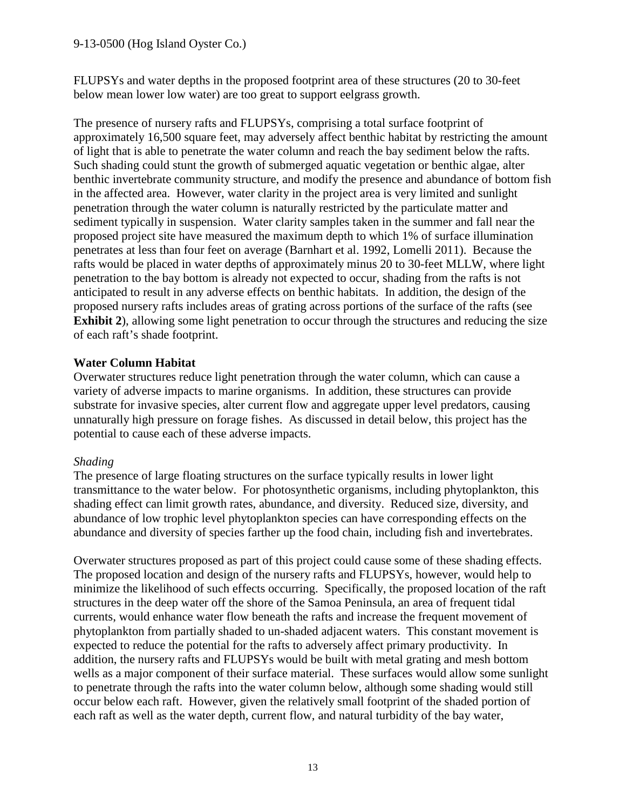#### 9-13-0500 (Hog Island Oyster Co.)

FLUPSYs and water depths in the proposed footprint area of these structures (20 to 30-feet below mean lower low water) are too great to support eelgrass growth.

The presence of nursery rafts and FLUPSYs, comprising a total surface footprint of approximately 16,500 square feet, may adversely affect benthic habitat by restricting the amount of light that is able to penetrate the water column and reach the bay sediment below the rafts. Such shading could stunt the growth of submerged aquatic vegetation or benthic algae, alter benthic invertebrate community structure, and modify the presence and abundance of bottom fish in the affected area. However, water clarity in the project area is very limited and sunlight penetration through the water column is naturally restricted by the particulate matter and sediment typically in suspension. Water clarity samples taken in the summer and fall near the proposed project site have measured the maximum depth to which 1% of surface illumination penetrates at less than four feet on average (Barnhart et al. 1992, Lomelli 2011). Because the rafts would be placed in water depths of approximately minus 20 to 30-feet MLLW, where light penetration to the bay bottom is already not expected to occur, shading from the rafts is not anticipated to result in any adverse effects on benthic habitats. In addition, the design of the proposed nursery rafts includes areas of grating across portions of the surface of the rafts (see **Exhibit 2**), allowing some light penetration to occur through the structures and reducing the size of each raft's shade footprint.

#### **Water Column Habitat**

Overwater structures reduce light penetration through the water column, which can cause a variety of adverse impacts to marine organisms. In addition, these structures can provide substrate for invasive species, alter current flow and aggregate upper level predators, causing unnaturally high pressure on forage fishes. As discussed in detail below, this project has the potential to cause each of these adverse impacts.

#### *Shading*

The presence of large floating structures on the surface typically results in lower light transmittance to the water below. For photosynthetic organisms, including phytoplankton, this shading effect can limit growth rates, abundance, and diversity. Reduced size, diversity, and abundance of low trophic level phytoplankton species can have corresponding effects on the abundance and diversity of species farther up the food chain, including fish and invertebrates.

Overwater structures proposed as part of this project could cause some of these shading effects. The proposed location and design of the nursery rafts and FLUPSYs, however, would help to minimize the likelihood of such effects occurring. Specifically, the proposed location of the raft structures in the deep water off the shore of the Samoa Peninsula, an area of frequent tidal currents, would enhance water flow beneath the rafts and increase the frequent movement of phytoplankton from partially shaded to un-shaded adjacent waters. This constant movement is expected to reduce the potential for the rafts to adversely affect primary productivity. In addition, the nursery rafts and FLUPSYs would be built with metal grating and mesh bottom wells as a major component of their surface material. These surfaces would allow some sunlight to penetrate through the rafts into the water column below, although some shading would still occur below each raft. However, given the relatively small footprint of the shaded portion of each raft as well as the water depth, current flow, and natural turbidity of the bay water,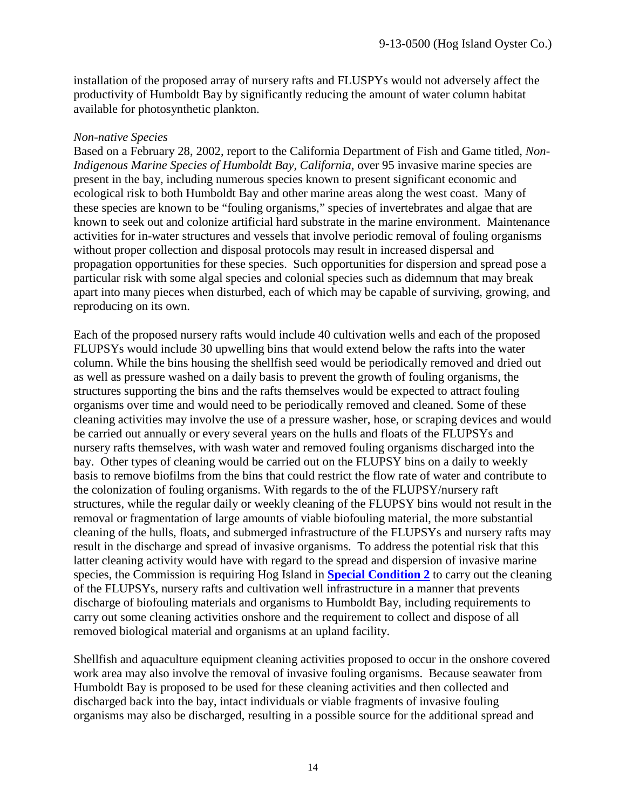installation of the proposed array of nursery rafts and FLUSPYs would not adversely affect the productivity of Humboldt Bay by significantly reducing the amount of water column habitat available for photosynthetic plankton.

#### *Non-native Species*

Based on a February 28, 2002, report to the California Department of Fish and Game titled, *Non-Indigenous Marine Species of Humboldt Bay, California*, over 95 invasive marine species are present in the bay, including numerous species known to present significant economic and ecological risk to both Humboldt Bay and other marine areas along the west coast. Many of these species are known to be "fouling organisms," species of invertebrates and algae that are known to seek out and colonize artificial hard substrate in the marine environment. Maintenance activities for in-water structures and vessels that involve periodic removal of fouling organisms without proper collection and disposal protocols may result in increased dispersal and propagation opportunities for these species. Such opportunities for dispersion and spread pose a particular risk with some algal species and colonial species such as didemnum that may break apart into many pieces when disturbed, each of which may be capable of surviving, growing, and reproducing on its own.

Each of the proposed nursery rafts would include 40 cultivation wells and each of the proposed FLUPSYs would include 30 upwelling bins that would extend below the rafts into the water column. While the bins housing the shellfish seed would be periodically removed and dried out as well as pressure washed on a daily basis to prevent the growth of fouling organisms, the structures supporting the bins and the rafts themselves would be expected to attract fouling organisms over time and would need to be periodically removed and cleaned. Some of these cleaning activities may involve the use of a pressure washer, hose, or scraping devices and would be carried out annually or every several years on the hulls and floats of the FLUPSYs and nursery rafts themselves, with wash water and removed fouling organisms discharged into the bay. Other types of cleaning would be carried out on the FLUPSY bins on a daily to weekly basis to remove biofilms from the bins that could restrict the flow rate of water and contribute to the colonization of fouling organisms. With regards to the of the FLUPSY/nursery raft structures, while the regular daily or weekly cleaning of the FLUPSY bins would not result in the removal or fragmentation of large amounts of viable biofouling material, the more substantial cleaning of the hulls, floats, and submerged infrastructure of the FLUPSYs and nursery rafts may result in the discharge and spread of invasive organisms. To address the potential risk that this latter cleaning activity would have with regard to the spread and dispersion of invasive marine species, the Commission is requiring Hog Island in **[Special Condition 2](#page-4-0)** to carry out the cleaning of the FLUPSYs, nursery rafts and cultivation well infrastructure in a manner that prevents discharge of biofouling materials and organisms to Humboldt Bay, including requirements to carry out some cleaning activities onshore and the requirement to collect and dispose of all removed biological material and organisms at an upland facility.

Shellfish and aquaculture equipment cleaning activities proposed to occur in the onshore covered work area may also involve the removal of invasive fouling organisms. Because seawater from Humboldt Bay is proposed to be used for these cleaning activities and then collected and discharged back into the bay, intact individuals or viable fragments of invasive fouling organisms may also be discharged, resulting in a possible source for the additional spread and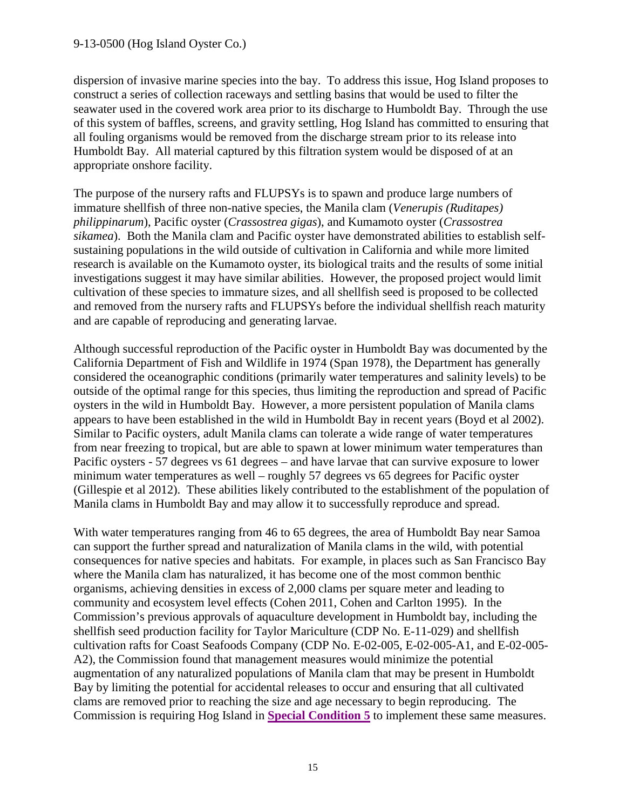dispersion of invasive marine species into the bay. To address this issue, Hog Island proposes to construct a series of collection raceways and settling basins that would be used to filter the seawater used in the covered work area prior to its discharge to Humboldt Bay. Through the use of this system of baffles, screens, and gravity settling, Hog Island has committed to ensuring that all fouling organisms would be removed from the discharge stream prior to its release into Humboldt Bay. All material captured by this filtration system would be disposed of at an appropriate onshore facility.

The purpose of the nursery rafts and FLUPSYs is to spawn and produce large numbers of immature shellfish of three non-native species, the Manila clam (*Venerupis (Ruditapes) philippinarum*), Pacific oyster (*Crassostrea gigas*), and Kumamoto oyster (*Crassostrea sikamea*). Both the Manila clam and Pacific oyster have demonstrated abilities to establish selfsustaining populations in the wild outside of cultivation in California and while more limited research is available on the Kumamoto oyster, its biological traits and the results of some initial investigations suggest it may have similar abilities. However, the proposed project would limit cultivation of these species to immature sizes, and all shellfish seed is proposed to be collected and removed from the nursery rafts and FLUPSYs before the individual shellfish reach maturity and are capable of reproducing and generating larvae.

Although successful reproduction of the Pacific oyster in Humboldt Bay was documented by the California Department of Fish and Wildlife in 1974 (Span 1978), the Department has generally considered the oceanographic conditions (primarily water temperatures and salinity levels) to be outside of the optimal range for this species, thus limiting the reproduction and spread of Pacific oysters in the wild in Humboldt Bay. However, a more persistent population of Manila clams appears to have been established in the wild in Humboldt Bay in recent years (Boyd et al 2002). Similar to Pacific oysters, adult Manila clams can tolerate a wide range of water temperatures from near freezing to tropical, but are able to spawn at lower minimum water temperatures than Pacific oysters - 57 degrees vs 61 degrees – and have larvae that can survive exposure to lower minimum water temperatures as well – roughly 57 degrees vs 65 degrees for Pacific oyster (Gillespie et al 2012). These abilities likely contributed to the establishment of the population of Manila clams in Humboldt Bay and may allow it to successfully reproduce and spread.

With water temperatures ranging from 46 to 65 degrees, the area of Humboldt Bay near Samoa can support the further spread and naturalization of Manila clams in the wild, with potential consequences for native species and habitats. For example, in places such as San Francisco Bay where the Manila clam has naturalized, it has become one of the most common benthic organisms, achieving densities in excess of 2,000 clams per square meter and leading to community and ecosystem level effects (Cohen 2011, Cohen and Carlton 1995). In the Commission's previous approvals of aquaculture development in Humboldt bay, including the shellfish seed production facility for Taylor Mariculture (CDP No. E-11-029) and shellfish cultivation rafts for Coast Seafoods Company (CDP No. E-02-005, E-02-005-A1, and E-02-005- A2), the Commission found that management measures would minimize the potential augmentation of any naturalized populations of Manila clam that may be present in Humboldt Bay by limiting the potential for accidental releases to occur and ensuring that all cultivated clams are removed prior to reaching the size and age necessary to begin reproducing. The Commission is requiring Hog Island in **[Special Condition 5](#page-4-2)** to implement these same measures.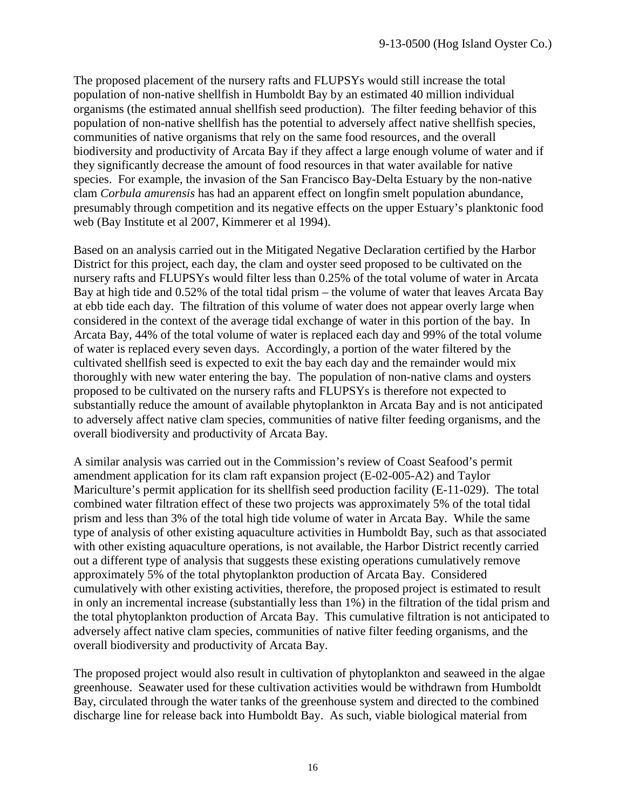The proposed placement of the nursery rafts and FLUPSYs would still increase the total population of non-native shellfish in Humboldt Bay by an estimated 40 million individual organisms (the estimated annual shellfish seed production). The filter feeding behavior of this population of non-native shellfish has the potential to adversely affect native shellfish species, communities of native organisms that rely on the same food resources, and the overall biodiversity and productivity of Arcata Bay if they affect a large enough volume of water and if they significantly decrease the amount of food resources in that water available for native species. For example, the invasion of the San Francisco Bay-Delta Estuary by the non-native clam *Corbula amurensis* has had an apparent effect on longfin smelt population abundance, presumably through competition and its negative effects on the upper Estuary's planktonic food web (Bay Institute et al 2007, Kimmerer et al 1994).

Based on an analysis carried out in the Mitigated Negative Declaration certified by the Harbor District for this project, each day, the clam and oyster seed proposed to be cultivated on the nursery rafts and FLUPSYs would filter less than 0.25% of the total volume of water in Arcata Bay at high tide and 0.52% of the total tidal prism – the volume of water that leaves Arcata Bay at ebb tide each day. The filtration of this volume of water does not appear overly large when considered in the context of the average tidal exchange of water in this portion of the bay. In Arcata Bay, 44% of the total volume of water is replaced each day and 99% of the total volume of water is replaced every seven days. Accordingly, a portion of the water filtered by the cultivated shellfish seed is expected to exit the bay each day and the remainder would mix thoroughly with new water entering the bay. The population of non-native clams and oysters proposed to be cultivated on the nursery rafts and FLUPSYs is therefore not expected to substantially reduce the amount of available phytoplankton in Arcata Bay and is not anticipated to adversely affect native clam species, communities of native filter feeding organisms, and the overall biodiversity and productivity of Arcata Bay.

A similar analysis was carried out in the Commission's review of Coast Seafood's permit amendment application for its clam raft expansion project (E-02-005-A2) and Taylor Mariculture's permit application for its shellfish seed production facility (E-11-029). The total combined water filtration effect of these two projects was approximately 5% of the total tidal prism and less than 3% of the total high tide volume of water in Arcata Bay. While the same type of analysis of other existing aquaculture activities in Humboldt Bay, such as that associated with other existing aquaculture operations, is not available, the Harbor District recently carried out a different type of analysis that suggests these existing operations cumulatively remove approximately 5% of the total phytoplankton production of Arcata Bay. Considered cumulatively with other existing activities, therefore, the proposed project is estimated to result in only an incremental increase (substantially less than 1%) in the filtration of the tidal prism and the total phytoplankton production of Arcata Bay. This cumulative filtration is not anticipated to adversely affect native clam species, communities of native filter feeding organisms, and the overall biodiversity and productivity of Arcata Bay.

The proposed project would also result in cultivation of phytoplankton and seaweed in the algae greenhouse. Seawater used for these cultivation activities would be withdrawn from Humboldt Bay, circulated through the water tanks of the greenhouse system and directed to the combined discharge line for release back into Humboldt Bay. As such, viable biological material from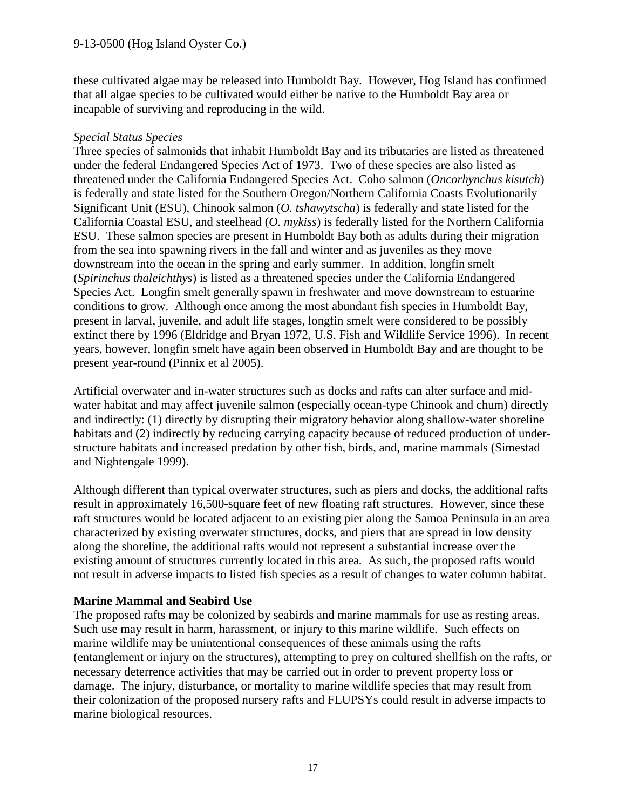these cultivated algae may be released into Humboldt Bay. However, Hog Island has confirmed that all algae species to be cultivated would either be native to the Humboldt Bay area or incapable of surviving and reproducing in the wild.

#### *Special Status Species*

Three species of salmonids that inhabit Humboldt Bay and its tributaries are listed as threatened under the federal Endangered Species Act of 1973. Two of these species are also listed as threatened under the California Endangered Species Act. Coho salmon (*Oncorhynchus kisutch*) is federally and state listed for the Southern Oregon/Northern California Coasts Evolutionarily Significant Unit (ESU), Chinook salmon (*O. tshawytscha*) is federally and state listed for the California Coastal ESU, and steelhead (*O. mykiss*) is federally listed for the Northern California ESU. These salmon species are present in Humboldt Bay both as adults during their migration from the sea into spawning rivers in the fall and winter and as juveniles as they move downstream into the ocean in the spring and early summer. In addition, longfin smelt (*Spirinchus thaleichthys*) is listed as a threatened species under the California Endangered Species Act. Longfin smelt generally spawn in freshwater and move downstream to estuarine conditions to grow. Although once among the most abundant fish species in Humboldt Bay, present in larval, juvenile, and adult life stages, longfin smelt were considered to be possibly extinct there by 1996 (Eldridge and Bryan 1972, U.S. Fish and Wildlife Service 1996). In recent years, however, longfin smelt have again been observed in Humboldt Bay and are thought to be present year-round (Pinnix et al 2005).

Artificial overwater and in-water structures such as docks and rafts can alter surface and midwater habitat and may affect juvenile salmon (especially ocean-type Chinook and chum) directly and indirectly: (1) directly by disrupting their migratory behavior along shallow-water shoreline habitats and (2) indirectly by reducing carrying capacity because of reduced production of understructure habitats and increased predation by other fish, birds, and, marine mammals (Simestad and Nightengale 1999).

Although different than typical overwater structures, such as piers and docks, the additional rafts result in approximately 16,500-square feet of new floating raft structures. However, since these raft structures would be located adjacent to an existing pier along the Samoa Peninsula in an area characterized by existing overwater structures, docks, and piers that are spread in low density along the shoreline, the additional rafts would not represent a substantial increase over the existing amount of structures currently located in this area. As such, the proposed rafts would not result in adverse impacts to listed fish species as a result of changes to water column habitat.

#### **Marine Mammal and Seabird Use**

The proposed rafts may be colonized by seabirds and marine mammals for use as resting areas. Such use may result in harm, harassment, or injury to this marine wildlife. Such effects on marine wildlife may be unintentional consequences of these animals using the rafts (entanglement or injury on the structures), attempting to prey on cultured shellfish on the rafts, or necessary deterrence activities that may be carried out in order to prevent property loss or damage. The injury, disturbance, or mortality to marine wildlife species that may result from their colonization of the proposed nursery rafts and FLUPSYs could result in adverse impacts to marine biological resources.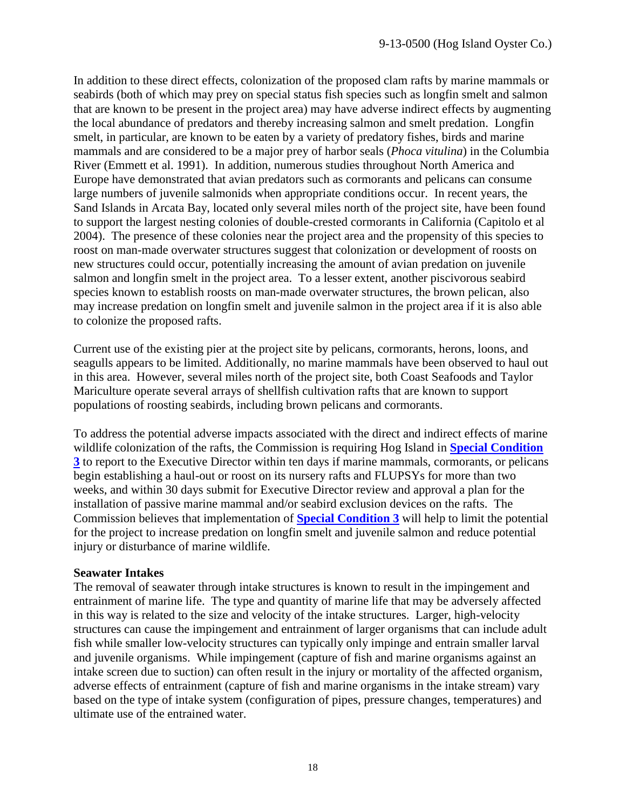In addition to these direct effects, colonization of the proposed clam rafts by marine mammals or seabirds (both of which may prey on special status fish species such as longfin smelt and salmon that are known to be present in the project area) may have adverse indirect effects by augmenting the local abundance of predators and thereby increasing salmon and smelt predation. Longfin smelt, in particular, are known to be eaten by a variety of predatory fishes, birds and marine mammals and are considered to be a major prey of harbor seals (*Phoca vitulina*) in the Columbia River (Emmett et al. 1991). In addition, numerous studies throughout North America and Europe have demonstrated that avian predators such as cormorants and pelicans can consume large numbers of juvenile salmonids when appropriate conditions occur. In recent years, the Sand Islands in Arcata Bay, located only several miles north of the project site, have been found to support the largest nesting colonies of double-crested cormorants in California (Capitolo et al 2004). The presence of these colonies near the project area and the propensity of this species to roost on man-made overwater structures suggest that colonization or development of roosts on new structures could occur, potentially increasing the amount of avian predation on juvenile salmon and longfin smelt in the project area. To a lesser extent, another piscivorous seabird species known to establish roosts on man-made overwater structures, the brown pelican, also may increase predation on longfin smelt and juvenile salmon in the project area if it is also able to colonize the proposed rafts.

Current use of the existing pier at the project site by pelicans, cormorants, herons, loons, and seagulls appears to be limited. Additionally, no marine mammals have been observed to haul out in this area. However, several miles north of the project site, both Coast Seafoods and Taylor Mariculture operate several arrays of shellfish cultivation rafts that are known to support populations of roosting seabirds, including brown pelicans and cormorants.

To address the potential adverse impacts associated with the direct and indirect effects of marine wildlife colonization of the rafts, the Commission is requiring Hog Island in **[Special Condition](#page-4-3)  [3](#page-4-3)** to report to the Executive Director within ten days if marine mammals, cormorants, or pelicans begin establishing a haul-out or roost on its nursery rafts and FLUPSYs for more than two weeks, and within 30 days submit for Executive Director review and approval a plan for the installation of passive marine mammal and/or seabird exclusion devices on the rafts. The Commission believes that implementation of **[Special Condition 3](#page-4-3)** will help to limit the potential for the project to increase predation on longfin smelt and juvenile salmon and reduce potential injury or disturbance of marine wildlife.

#### **Seawater Intakes**

The removal of seawater through intake structures is known to result in the impingement and entrainment of marine life. The type and quantity of marine life that may be adversely affected in this way is related to the size and velocity of the intake structures. Larger, high-velocity structures can cause the impingement and entrainment of larger organisms that can include adult fish while smaller low-velocity structures can typically only impinge and entrain smaller larval and juvenile organisms. While impingement (capture of fish and marine organisms against an intake screen due to suction) can often result in the injury or mortality of the affected organism, adverse effects of entrainment (capture of fish and marine organisms in the intake stream) vary based on the type of intake system (configuration of pipes, pressure changes, temperatures) and ultimate use of the entrained water.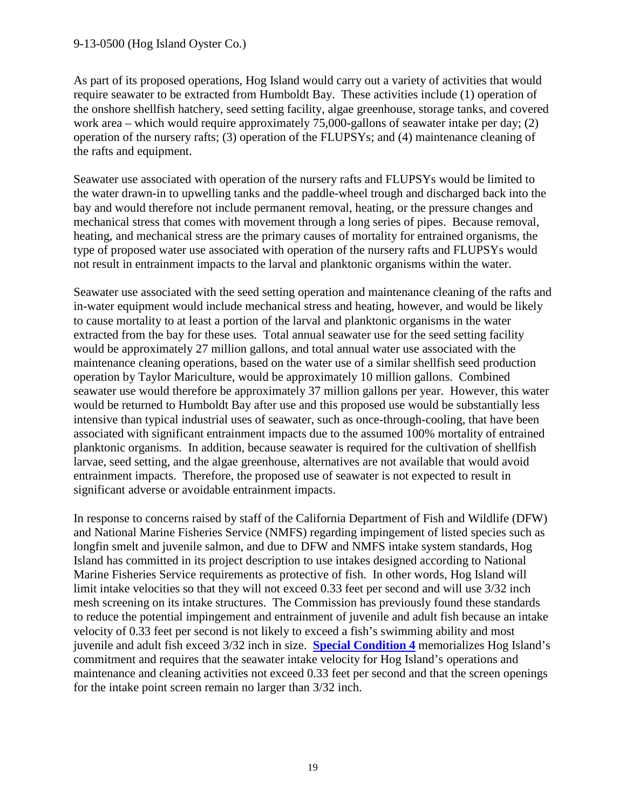#### 9-13-0500 (Hog Island Oyster Co.)

As part of its proposed operations, Hog Island would carry out a variety of activities that would require seawater to be extracted from Humboldt Bay. These activities include (1) operation of the onshore shellfish hatchery, seed setting facility, algae greenhouse, storage tanks, and covered work area – which would require approximately 75,000-gallons of seawater intake per day; (2) operation of the nursery rafts; (3) operation of the FLUPSYs; and (4) maintenance cleaning of the rafts and equipment.

Seawater use associated with operation of the nursery rafts and FLUPSYs would be limited to the water drawn-in to upwelling tanks and the paddle-wheel trough and discharged back into the bay and would therefore not include permanent removal, heating, or the pressure changes and mechanical stress that comes with movement through a long series of pipes. Because removal, heating, and mechanical stress are the primary causes of mortality for entrained organisms, the type of proposed water use associated with operation of the nursery rafts and FLUPSYs would not result in entrainment impacts to the larval and planktonic organisms within the water.

Seawater use associated with the seed setting operation and maintenance cleaning of the rafts and in-water equipment would include mechanical stress and heating, however, and would be likely to cause mortality to at least a portion of the larval and planktonic organisms in the water extracted from the bay for these uses. Total annual seawater use for the seed setting facility would be approximately 27 million gallons, and total annual water use associated with the maintenance cleaning operations, based on the water use of a similar shellfish seed production operation by Taylor Mariculture, would be approximately 10 million gallons. Combined seawater use would therefore be approximately 37 million gallons per year. However, this water would be returned to Humboldt Bay after use and this proposed use would be substantially less intensive than typical industrial uses of seawater, such as once-through-cooling, that have been associated with significant entrainment impacts due to the assumed 100% mortality of entrained planktonic organisms. In addition, because seawater is required for the cultivation of shellfish larvae, seed setting, and the algae greenhouse, alternatives are not available that would avoid entrainment impacts. Therefore, the proposed use of seawater is not expected to result in significant adverse or avoidable entrainment impacts.

In response to concerns raised by staff of the California Department of Fish and Wildlife (DFW) and National Marine Fisheries Service (NMFS) regarding impingement of listed species such as longfin smelt and juvenile salmon, and due to DFW and NMFS intake system standards, Hog Island has committed in its project description to use intakes designed according to National Marine Fisheries Service requirements as protective of fish. In other words, Hog Island will limit intake velocities so that they will not exceed 0.33 feet per second and will use 3/32 inch mesh screening on its intake structures. The Commission has previously found these standards to reduce the potential impingement and entrainment of juvenile and adult fish because an intake velocity of 0.33 feet per second is not likely to exceed a fish's swimming ability and most juvenile and adult fish exceed 3/32 inch in size. **[Special Condition 4](#page-4-4)** memorializes Hog Island's commitment and requires that the seawater intake velocity for Hog Island's operations and maintenance and cleaning activities not exceed 0.33 feet per second and that the screen openings for the intake point screen remain no larger than 3/32 inch.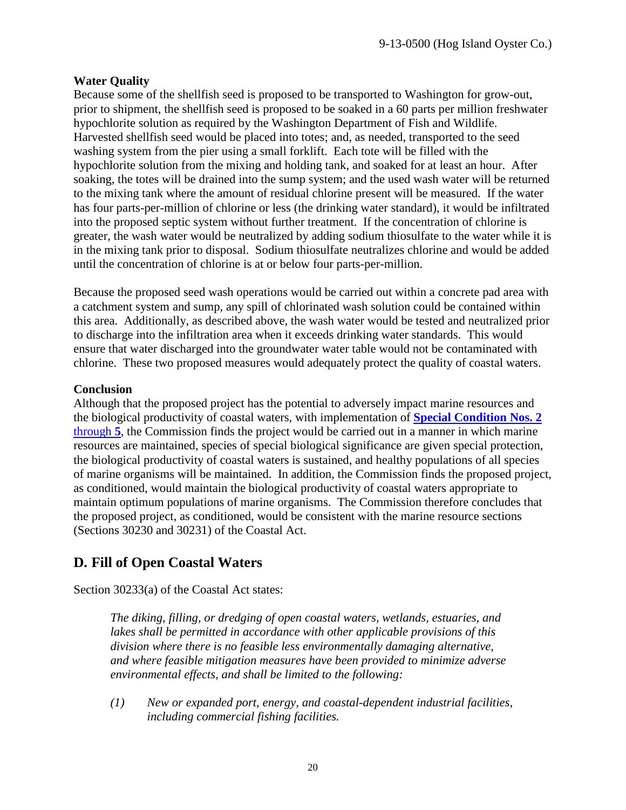#### **Water Quality**

Because some of the shellfish seed is proposed to be transported to Washington for grow-out, prior to shipment, the shellfish seed is proposed to be soaked in a 60 parts per million freshwater hypochlorite solution as required by the Washington Department of Fish and Wildlife. Harvested shellfish seed would be placed into totes; and, as needed, transported to the seed washing system from the pier using a small forklift. Each tote will be filled with the hypochlorite solution from the mixing and holding tank, and soaked for at least an hour. After soaking, the totes will be drained into the sump system; and the used wash water will be returned to the mixing tank where the amount of residual chlorine present will be measured. If the water has four parts-per-million of chlorine or less (the drinking water standard), it would be infiltrated into the proposed septic system without further treatment. If the concentration of chlorine is greater, the wash water would be neutralized by adding sodium thiosulfate to the water while it is in the mixing tank prior to disposal. Sodium thiosulfate neutralizes chlorine and would be added until the concentration of chlorine is at or below four parts-per-million.

Because the proposed seed wash operations would be carried out within a concrete pad area with a catchment system and sump, any spill of chlorinated wash solution could be contained within this area. Additionally, as described above, the wash water would be tested and neutralized prior to discharge into the infiltration area when it exceeds drinking water standards. This would ensure that water discharged into the groundwater water table would not be contaminated with chlorine. These two proposed measures would adequately protect the quality of coastal waters.

#### **Conclusion**

Although that the proposed project has the potential to adversely impact marine resources and the biological productivity of coastal waters, with implementation of **[Special Condition Nos. 2](#page-4-2)** [through](#page-4-2) **5**, the Commission finds the project would be carried out in a manner in which marine resources are maintained, species of special biological significance are given special protection, the biological productivity of coastal waters is sustained, and healthy populations of all species of marine organisms will be maintained. In addition, the Commission finds the proposed project, as conditioned, would maintain the biological productivity of coastal waters appropriate to maintain optimum populations of marine organisms. The Commission therefore concludes that the proposed project, as conditioned, would be consistent with the marine resource sections (Sections 30230 and 30231) of the Coastal Act.

# <span id="page-19-0"></span>**D. Fill of Open Coastal Waters**

Section 30233(a) of the Coastal Act states:

*The diking, filling, or dredging of open coastal waters, wetlands, estuaries, and lakes shall be permitted in accordance with other applicable provisions of this division where there is no feasible less environmentally damaging alternative, and where feasible mitigation measures have been provided to minimize adverse environmental effects, and shall be limited to the following:*

*(1) New or expanded port, energy, and coastal-dependent industrial facilities, including commercial fishing facilities.*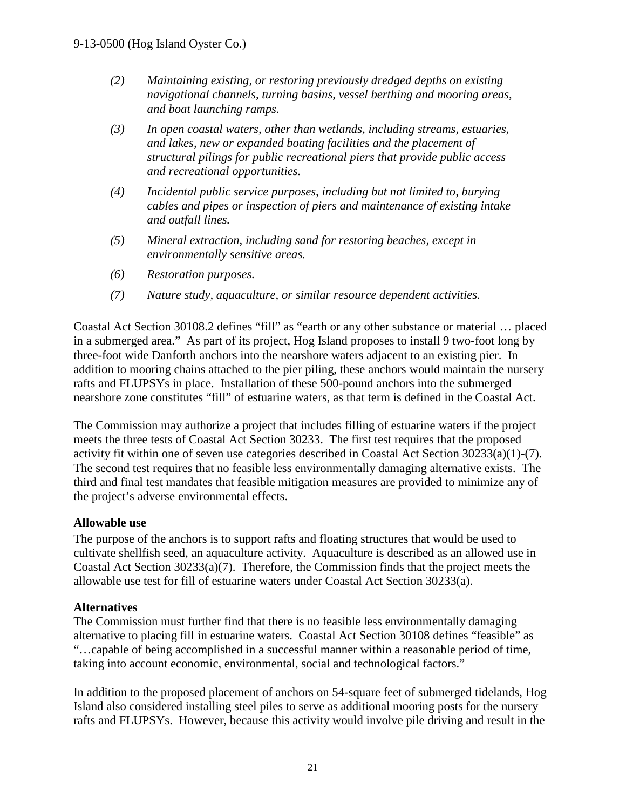- *(2) Maintaining existing, or restoring previously dredged depths on existing navigational channels, turning basins, vessel berthing and mooring areas, and boat launching ramps.*
- *(3) In open coastal waters, other than wetlands, including streams, estuaries, and lakes, new or expanded boating facilities and the placement of structural pilings for public recreational piers that provide public access and recreational opportunities.*
- *(4) Incidental public service purposes, including but not limited to, burying cables and pipes or inspection of piers and maintenance of existing intake and outfall lines.*
- *(5) Mineral extraction, including sand for restoring beaches, except in environmentally sensitive areas.*
- *(6) Restoration purposes.*
- *(7) Nature study, aquaculture, or similar resource dependent activities.*

Coastal Act Section 30108.2 defines "fill" as "earth or any other substance or material … placed in a submerged area." As part of its project, Hog Island proposes to install 9 two-foot long by three-foot wide Danforth anchors into the nearshore waters adjacent to an existing pier. In addition to mooring chains attached to the pier piling, these anchors would maintain the nursery rafts and FLUPSYs in place. Installation of these 500-pound anchors into the submerged nearshore zone constitutes "fill" of estuarine waters, as that term is defined in the Coastal Act.

The Commission may authorize a project that includes filling of estuarine waters if the project meets the three tests of Coastal Act Section 30233. The first test requires that the proposed activity fit within one of seven use categories described in Coastal Act Section 30233(a)(1)-(7). The second test requires that no feasible less environmentally damaging alternative exists. The third and final test mandates that feasible mitigation measures are provided to minimize any of the project's adverse environmental effects.

#### **Allowable use**

The purpose of the anchors is to support rafts and floating structures that would be used to cultivate shellfish seed, an aquaculture activity. Aquaculture is described as an allowed use in Coastal Act Section 30233(a)(7). Therefore, the Commission finds that the project meets the allowable use test for fill of estuarine waters under Coastal Act Section 30233(a).

#### **Alternatives**

The Commission must further find that there is no feasible less environmentally damaging alternative to placing fill in estuarine waters. Coastal Act Section 30108 defines "feasible" as "…capable of being accomplished in a successful manner within a reasonable period of time, taking into account economic, environmental, social and technological factors."

In addition to the proposed placement of anchors on 54-square feet of submerged tidelands, Hog Island also considered installing steel piles to serve as additional mooring posts for the nursery rafts and FLUPSYs. However, because this activity would involve pile driving and result in the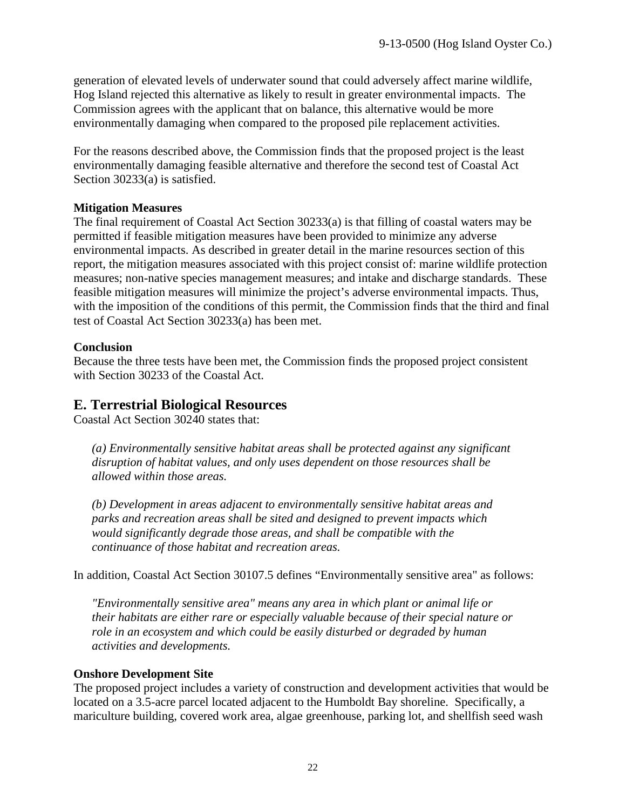generation of elevated levels of underwater sound that could adversely affect marine wildlife, Hog Island rejected this alternative as likely to result in greater environmental impacts. The Commission agrees with the applicant that on balance, this alternative would be more environmentally damaging when compared to the proposed pile replacement activities.

For the reasons described above, the Commission finds that the proposed project is the least environmentally damaging feasible alternative and therefore the second test of Coastal Act Section 30233(a) is satisfied.

#### **Mitigation Measures**

The final requirement of Coastal Act Section 30233(a) is that filling of coastal waters may be permitted if feasible mitigation measures have been provided to minimize any adverse environmental impacts. As described in greater detail in the marine resources section of this report, the mitigation measures associated with this project consist of: marine wildlife protection measures; non-native species management measures; and intake and discharge standards. These feasible mitigation measures will minimize the project's adverse environmental impacts. Thus, with the imposition of the conditions of this permit, the Commission finds that the third and final test of Coastal Act Section 30233(a) has been met.

#### **Conclusion**

Because the three tests have been met, the Commission finds the proposed project consistent with Section 30233 of the Coastal Act.

## <span id="page-21-0"></span>**E. Terrestrial Biological Resources**

Coastal Act Section 30240 states that:

*(a) Environmentally sensitive habitat areas shall be protected against any significant disruption of habitat values, and only uses dependent on those resources shall be allowed within those areas.* 

*(b) Development in areas adjacent to environmentally sensitive habitat areas and parks and recreation areas shall be sited and designed to prevent impacts which would significantly degrade those areas, and shall be compatible with the continuance of those habitat and recreation areas.*

In addition, Coastal Act Section 30107.5 defines "Environmentally sensitive area" as follows:

*"Environmentally sensitive area" means any area in which plant or animal life or their habitats are either rare or especially valuable because of their special nature or role in an ecosystem and which could be easily disturbed or degraded by human activities and developments.*

#### **Onshore Development Site**

The proposed project includes a variety of construction and development activities that would be located on a 3.5-acre parcel located adjacent to the Humboldt Bay shoreline. Specifically, a mariculture building, covered work area, algae greenhouse, parking lot, and shellfish seed wash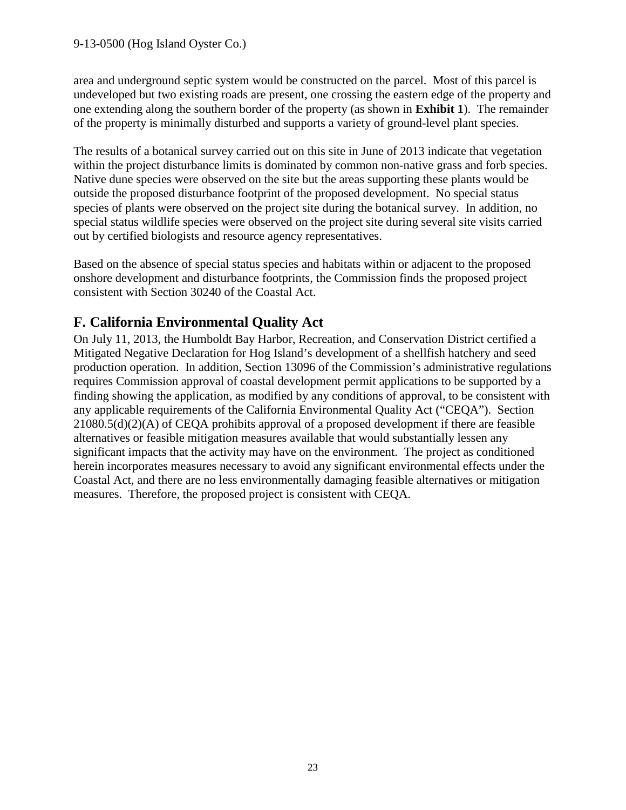area and underground septic system would be constructed on the parcel. Most of this parcel is undeveloped but two existing roads are present, one crossing the eastern edge of the property and one extending along the southern border of the property (as shown in **Exhibit 1**). The remainder of the property is minimally disturbed and supports a variety of ground-level plant species.

The results of a botanical survey carried out on this site in June of 2013 indicate that vegetation within the project disturbance limits is dominated by common non-native grass and forb species. Native dune species were observed on the site but the areas supporting these plants would be outside the proposed disturbance footprint of the proposed development. No special status species of plants were observed on the project site during the botanical survey. In addition, no special status wildlife species were observed on the project site during several site visits carried out by certified biologists and resource agency representatives.

Based on the absence of special status species and habitats within or adjacent to the proposed onshore development and disturbance footprints, the Commission finds the proposed project consistent with Section 30240 of the Coastal Act.

# <span id="page-22-0"></span>**F. California Environmental Quality Act**

On July 11, 2013, the Humboldt Bay Harbor, Recreation, and Conservation District certified a Mitigated Negative Declaration for Hog Island's development of a shellfish hatchery and seed production operation. In addition, Section 13096 of the Commission's administrative regulations requires Commission approval of coastal development permit applications to be supported by a finding showing the application, as modified by any conditions of approval, to be consistent with any applicable requirements of the California Environmental Quality Act ("CEQA"). Section 21080.5(d)(2)(A) of CEQA prohibits approval of a proposed development if there are feasible alternatives or feasible mitigation measures available that would substantially lessen any significant impacts that the activity may have on the environment. The project as conditioned herein incorporates measures necessary to avoid any significant environmental effects under the Coastal Act, and there are no less environmentally damaging feasible alternatives or mitigation measures. Therefore, the proposed project is consistent with CEQA.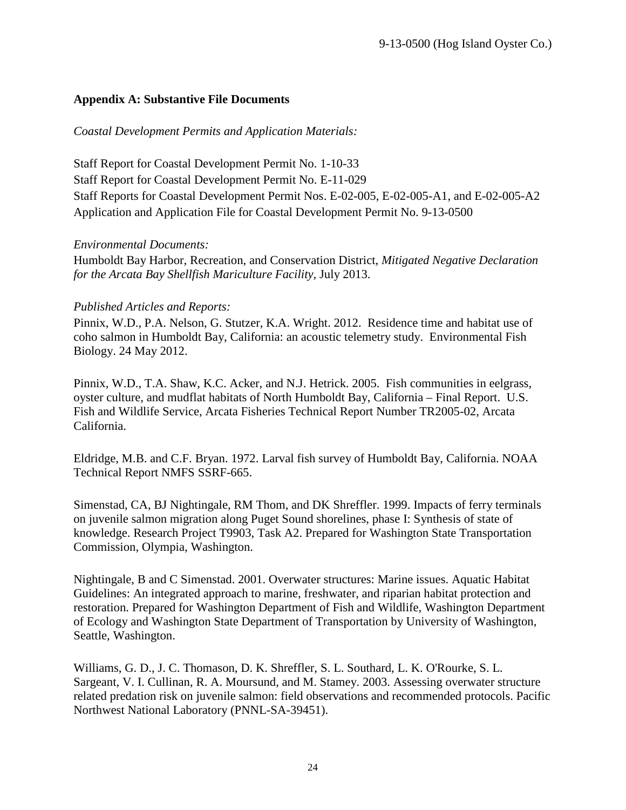#### <span id="page-23-0"></span>**Appendix A: Substantive File Documents**

*Coastal Development Permits and Application Materials:* 

Staff Report for Coastal Development Permit No. 1-10-33 Staff Report for Coastal Development Permit No. E-11-029 Staff Reports for Coastal Development Permit Nos. E-02-005, E-02-005-A1, and E-02-005-A2 Application and Application File for Coastal Development Permit No. 9-13-0500

#### *Environmental Documents:*

Humboldt Bay Harbor, Recreation, and Conservation District, *Mitigated Negative Declaration for the Arcata Bay Shellfish Mariculture Facility*, July 2013.

#### *Published Articles and Reports:*

Pinnix, W.D., P.A. Nelson, G. Stutzer, K.A. Wright. 2012. Residence time and habitat use of coho salmon in Humboldt Bay, California: an acoustic telemetry study. Environmental Fish Biology. 24 May 2012.

Pinnix, W.D., T.A. Shaw, K.C. Acker, and N.J. Hetrick. 2005. Fish communities in eelgrass, oyster culture, and mudflat habitats of North Humboldt Bay, California – Final Report. U.S. Fish and Wildlife Service, Arcata Fisheries Technical Report Number TR2005-02, Arcata California.

Eldridge, M.B. and C.F. Bryan. 1972. Larval fish survey of Humboldt Bay, California. NOAA Technical Report NMFS SSRF-665.

Simenstad, CA, BJ Nightingale, RM Thom, and DK Shreffler. 1999. Impacts of ferry terminals on juvenile salmon migration along Puget Sound shorelines, phase I: Synthesis of state of knowledge. Research Project T9903, Task A2. Prepared for Washington State Transportation Commission, Olympia, Washington.

Nightingale, B and C Simenstad. 2001. Overwater structures: Marine issues. Aquatic Habitat Guidelines: An integrated approach to marine, freshwater, and riparian habitat protection and restoration. Prepared for Washington Department of Fish and Wildlife, Washington Department of Ecology and Washington State Department of Transportation by University of Washington, Seattle, Washington.

Williams, G. D., J. C. Thomason, D. K. Shreffler, S. L. Southard, L. K. O'Rourke, S. L. Sargeant, V. I. Cullinan, R. A. Moursund, and M. Stamey. 2003. Assessing overwater structure related predation risk on juvenile salmon: field observations and recommended protocols. Pacific Northwest National Laboratory (PNNL-SA-39451).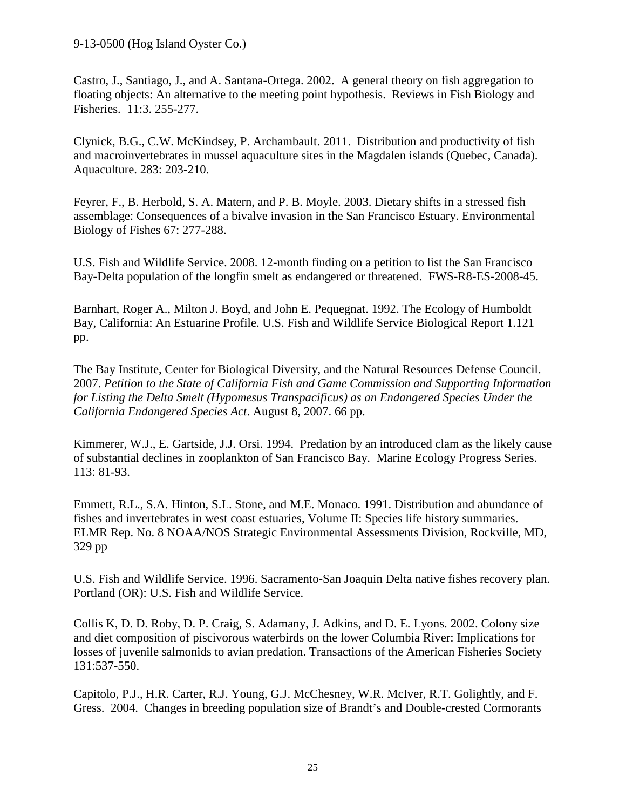Castro, J., Santiago, J., and A. Santana-Ortega. 2002. A general theory on fish aggregation to floating objects: An alternative to the meeting point hypothesis. Reviews in Fish Biology and Fisheries. 11:3. 255-277.

Clynick, B.G., C.W. McKindsey, P. Archambault. 2011. Distribution and productivity of fish and macroinvertebrates in mussel aquaculture sites in the Magdalen islands (Quebec, Canada). Aquaculture. 283: 203-210.

Feyrer, F., B. Herbold, S. A. Matern, and P. B. Moyle. 2003. Dietary shifts in a stressed fish assemblage: Consequences of a bivalve invasion in the San Francisco Estuary. Environmental Biology of Fishes 67: 277-288.

U.S. Fish and Wildlife Service. 2008. 12-month finding on a petition to list the San Francisco Bay-Delta population of the longfin smelt as endangered or threatened. FWS-R8-ES-2008-45.

Barnhart, Roger A., Milton J. Boyd, and John E. Pequegnat. 1992. The Ecology of Humboldt Bay, California: An Estuarine Profile. U.S. Fish and Wildlife Service Biological Report 1.121 pp.

The Bay Institute, Center for Biological Diversity, and the Natural Resources Defense Council. 2007. *Petition to the State of California Fish and Game Commission and Supporting Information for Listing the Delta Smelt (Hypomesus Transpacificus) as an Endangered Species Under the California Endangered Species Act*. August 8, 2007. 66 pp.

Kimmerer, W.J., E. Gartside, J.J. Orsi. 1994. Predation by an introduced clam as the likely cause of substantial declines in zooplankton of San Francisco Bay. Marine Ecology Progress Series. 113: 81-93.

Emmett, R.L., S.A. Hinton, S.L. Stone, and M.E. Monaco. 1991. Distribution and abundance of fishes and invertebrates in west coast estuaries, Volume II: Species life history summaries. ELMR Rep. No. 8 NOAA/NOS Strategic Environmental Assessments Division, Rockville, MD, 329 pp

U.S. Fish and Wildlife Service. 1996. Sacramento-San Joaquin Delta native fishes recovery plan. Portland (OR): U.S. Fish and Wildlife Service.

Collis K, D. D. Roby, D. P. Craig, S. Adamany, J. Adkins, and D. E. Lyons. 2002. Colony size and diet composition of piscivorous waterbirds on the lower Columbia River: Implications for losses of juvenile salmonids to avian predation. Transactions of the American Fisheries Society 131:537-550.

Capitolo, P.J., H.R. Carter, R.J. Young, G.J. McChesney, W.R. McIver, R.T. Golightly, and F. Gress. 2004. Changes in breeding population size of Brandt's and Double-crested Cormorants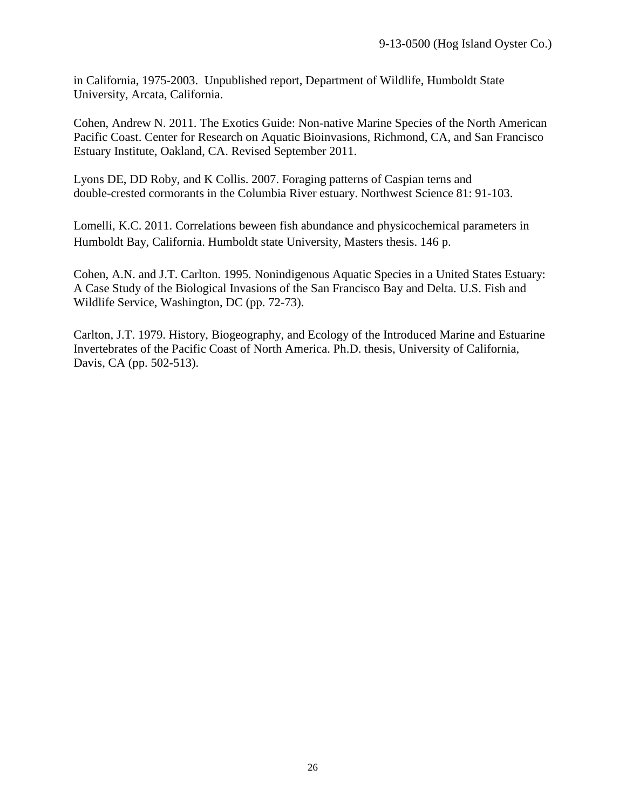in California, 1975-2003. Unpublished report, Department of Wildlife, Humboldt State University, Arcata, California.

Cohen, Andrew N. 2011. The Exotics Guide: Non-native Marine Species of the North American Pacific Coast. Center for Research on Aquatic Bioinvasions, Richmond, CA, and San Francisco Estuary Institute, Oakland, CA. Revised September 2011.

Lyons DE, DD Roby, and K Collis. 2007. Foraging patterns of Caspian terns and double-crested cormorants in the Columbia River estuary. Northwest Science 81: 91-103.

Lomelli, K.C. 2011. Correlations beween fish abundance and physicochemical parameters in Humboldt Bay, California. Humboldt state University, Masters thesis. 146 p.

Cohen, A.N. and J.T. Carlton. 1995. Nonindigenous Aquatic Species in a United States Estuary: A Case Study of the Biological Invasions of the San Francisco Bay and Delta. U.S. Fish and Wildlife Service, Washington, DC (pp. 72-73).

Carlton, J.T. 1979. History, Biogeography, and Ecology of the Introduced Marine and Estuarine Invertebrates of the Pacific Coast of North America. Ph.D. thesis, University of California, Davis, CA (pp. 502-513).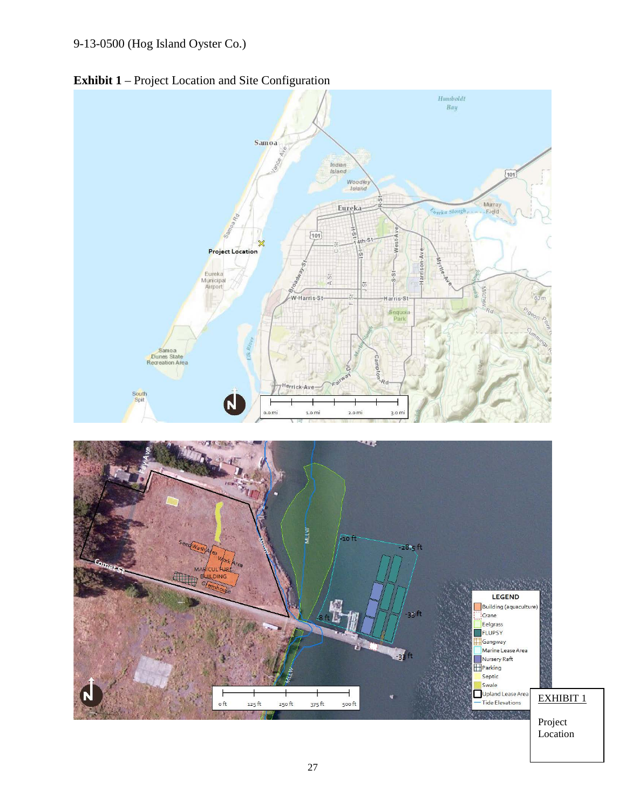<span id="page-26-0"></span>

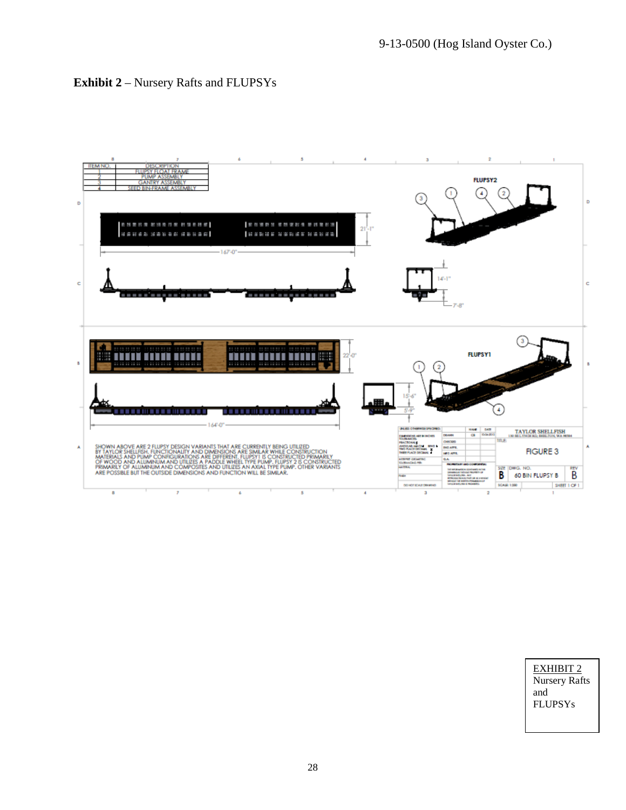<span id="page-27-0"></span>



EXHIBIT 2 Nursery Rafts and FLUPSYs